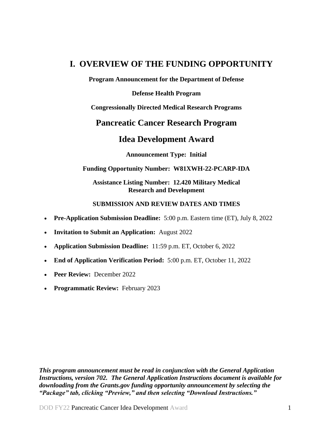# <span id="page-0-0"></span>**I. OVERVIEW OF THE FUNDING OPPORTUNITY**

**Program Announcement for the Department of Defense**

**Defense Health Program**

**Congressionally Directed Medical Research Programs**

# **Pancreatic Cancer Research Program**

# **Idea Development Award**

**Announcement Type: Initial**

#### **Funding Opportunity Number: W81XWH-22-PCARP-IDA**

**Assistance Listing Number: 12.420 Military Medical Research and Development**

#### **SUBMISSION AND REVIEW DATES AND TIMES**

- <span id="page-0-1"></span>**Pre-Application Submission Deadline:** 5:00 p.m. Eastern time (ET), July 8, 2022
- **Invitation to Submit an Application:** August 2022
- **Application Submission Deadline:** 11:59 p.m. ET, October 6, 2022
- **End of Application Verification Period:** 5:00 p.m. ET, October 11, 2022
- **Peer Review:** December 2022
- **Programmatic Review: February 2023**

*This program announcement must be read in conjunction with the General Application Instructions, version 702.**The General Application Instructions document is available for downloading from the Grants.gov funding opportunity announcement by selecting the "Package" tab, clicking "Preview," and then selecting "Download Instructions."*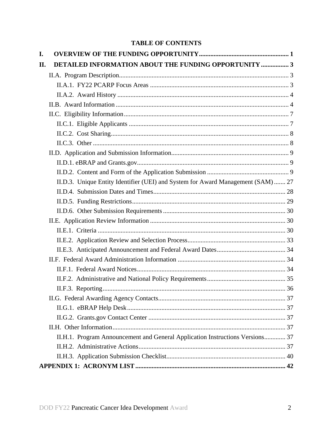# **TABLE OF CONTENTS**

| I. |                                                                                  |  |
|----|----------------------------------------------------------------------------------|--|
| П. | DETAILED INFORMATION ABOUT THE FUNDING OPPORTUNITY  3                            |  |
|    |                                                                                  |  |
|    |                                                                                  |  |
|    |                                                                                  |  |
|    |                                                                                  |  |
|    |                                                                                  |  |
|    |                                                                                  |  |
|    |                                                                                  |  |
|    |                                                                                  |  |
|    |                                                                                  |  |
|    |                                                                                  |  |
|    |                                                                                  |  |
|    | II.D.3. Unique Entity Identifier (UEI) and System for Award Management (SAM)  27 |  |
|    |                                                                                  |  |
|    |                                                                                  |  |
|    |                                                                                  |  |
|    |                                                                                  |  |
|    |                                                                                  |  |
|    |                                                                                  |  |
|    |                                                                                  |  |
|    |                                                                                  |  |
|    |                                                                                  |  |
|    |                                                                                  |  |
|    |                                                                                  |  |
|    |                                                                                  |  |
|    |                                                                                  |  |
|    |                                                                                  |  |
|    |                                                                                  |  |
|    | II.H.1. Program Announcement and General Application Instructions Versions 37    |  |
|    |                                                                                  |  |
|    |                                                                                  |  |
|    |                                                                                  |  |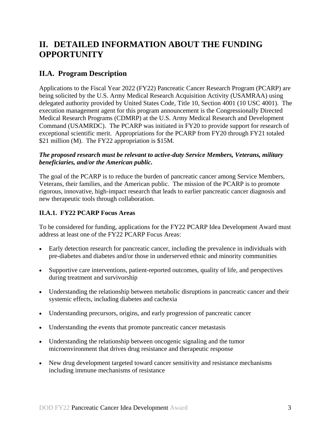# <span id="page-2-0"></span>**II. DETAILED INFORMATION ABOUT THE FUNDING OPPORTUNITY**

# <span id="page-2-1"></span>**II.A. Program Description**

Applications to the Fiscal Year 2022 (FY22) Pancreatic Cancer Research Program (PCARP) are being solicited by the U.S. Army Medical Research Acquisition Activity (USAMRAA) using delegated authority provided by United States Code, Title 10, Section 4001 (10 USC 4001). The execution management agent for this program announcement is the Congressionally Directed Medical Research Programs (CDMRP) at the U.S. Army Medical Research and Development Command (USAMRDC). The PCARP was initiated in FY20 to provide support for research of exceptional scientific merit. Appropriations for the PCARP from FY20 through FY21 totaled \$21 million (M). The FY22 appropriation is \$15M.

#### *The proposed research must be relevant to active-duty Service Members, Veterans, military beneficiaries, and/or the American public.*

The goal of the PCARP is to reduce the burden of pancreatic cancer among Service Members, Veterans, their families, and the American public. The mission of the PCARP is to promote rigorous, innovative, high-impact research that leads to earlier pancreatic cancer diagnosis and new therapeutic tools through collaboration.

# <span id="page-2-2"></span>**II.A.1. FY22 PCARP Focus Areas**

To be considered for funding, applications for the FY22 PCARP Idea Development Award must address at least one of the FY22 PCARP Focus Areas:

- Early detection research for pancreatic cancer, including the prevalence in individuals with pre-diabetes and diabetes and/or those in underserved ethnic and minority communities
- Supportive care interventions, patient-reported outcomes, quality of life, and perspectives during treatment and survivorship
- Understanding the relationship between metabolic disruptions in pancreatic cancer and their systemic effects, including diabetes and cachexia
- Understanding precursors, origins, and early progression of pancreatic cancer
- Understanding the events that promote pancreatic cancer metastasis
- Understanding the relationship between oncogenic signaling and the tumor microenvironment that drives drug resistance and therapeutic response
- New drug development targeted toward cancer sensitivity and resistance mechanisms including immune mechanisms of resistance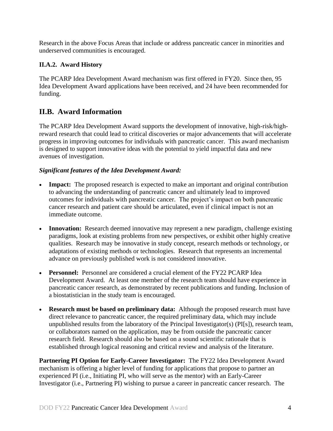Research in the above Focus Areas that include or address pancreatic cancer in minorities and underserved communities is encouraged.

# <span id="page-3-0"></span>**II.A.2. Award History**

The PCARP Idea Development Award mechanism was first offered in FY20. Since then, 95 Idea Development Award applications have been received, and 24 have been recommended for funding.

# <span id="page-3-1"></span>**II.B. Award Information**

The PCARP Idea Development Award supports the development of innovative, high-risk/highreward research that could lead to critical discoveries or major advancements that will accelerate progress in improving outcomes for individuals with pancreatic cancer. This award mechanism is designed to support innovative ideas with the potential to yield impactful data and new avenues of investigation.

# *Significant features of the Idea Development Award:*

- **Impact:** The proposed research is expected to make an important and original contribution to advancing the understanding of pancreatic cancer and ultimately lead to improved outcomes for individuals with pancreatic cancer. The project's impact on both pancreatic cancer research and patient care should be articulated, even if clinical impact is not an immediate outcome.
- **Innovation:** Research deemed innovative may represent a new paradigm, challenge existing paradigms, look at existing problems from new perspectives, or exhibit other highly creative qualities. Research may be innovative in study concept, research methods or technology, or adaptations of existing methods or technologies. Research that represents an incremental advance on previously published work is not considered innovative.
- **Personnel:** Personnel are considered a crucial element of the FY22 PCARP Idea Development Award. At least one member of the research team should have experience in pancreatic cancer research, as demonstrated by recent publications and funding. Inclusion of a biostatistician in the study team is encouraged.
- **Research must be based on preliminary data:** Although the proposed research must have direct relevance to pancreatic cancer, the required preliminary data, which may include unpublished results from the laboratory of the Principal Investigator(s) (PI[s]), research team, or collaborators named on the application, may be from outside the pancreatic cancer research field. Research should also be based on a sound scientific rationale that is established through logical reasoning and critical review and analysis of the literature.

**Partnering PI Option for Early-Career Investigator:** The FY22 Idea Development Award mechanism is offering a higher level of funding for applications that propose to partner an experienced PI (i.e., Initiating PI, who will serve as the mentor) with an Early-Career Investigator (i.e., Partnering PI) wishing to pursue a career in pancreatic cancer research. The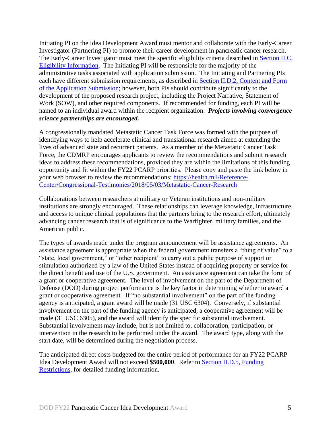Initiating PI on the Idea Development Award must mentor and collaborate with the Early-Career Investigator (Partnering PI) to promote their career development in pancreatic cancer research. The Early-Career Investigator must meet the specific eligibility criteria described in [Section II.C,](#page-6-1)  [Eligibility Information.](#page-6-1) The Initiating PI will be responsible for the majority of the administrative tasks associated with application submission. The Initiating and Partnering PIs each have different submission requirements, as described in [Section II.D.2, Content and Form](#page-8-2)  [of the Application Submission;](#page-8-2) however, both PIs should contribute significantly to the development of the proposed research project, including the Project Narrative, Statement of Work (SOW), and other required components. If recommended for funding, each PI will be named to an individual award within the recipient organization. *Projects involving convergence science partnerships are encouraged.*

A congressionally mandated Metastatic Cancer Task Force was formed with the purpose of identifying ways to help accelerate clinical and translational research aimed at extending the lives of advanced state and recurrent patients. As a member of the Metastatic Cancer Task Force, the CDMRP encourages applicants to review the recommendations and submit research ideas to address these recommendations, provided they are within the limitations of this funding opportunity and fit within the FY22 PCARP priorities. Please copy and paste the link below in your web browser to review the recommendations: [https://health.mil/Reference-](https://health.mil/Reference-Center/Congressional-Testimonies/2018/05/03/Metastatic-Cancer-Research)[Center/Congressional-Testimonies/2018/05/03/Metastatic-Cancer-Research](https://health.mil/Reference-Center/Congressional-Testimonies/2018/05/03/Metastatic-Cancer-Research)

Collaborations between researchers at military or Veteran institutions and non-military institutions are strongly encouraged. These relationships can leverage knowledge, infrastructure, and access to unique clinical populations that the partners bring to the research effort, ultimately advancing cancer research that is of significance to the Warfighter, military families, and the American public.

The types of awards made under the program announcement will be assistance agreements. An assistance agreement is appropriate when the federal government transfers a "thing of value" to a "state, local government," or "other recipient" to carry out a public purpose of support or stimulation authorized by a law of the United States instead of acquiring property or service for the direct benefit and use of the U.S. government. An assistance agreement can take the form of a grant or cooperative agreement. The level of involvement on the part of the Department of Defense (DOD) during project performance is the key factor in determining whether to award a grant or cooperative agreement. If "no substantial involvement" on the part of the funding agency is anticipated, a grant award will be made (31 USC 6304). Conversely, if substantial involvement on the part of the funding agency is anticipated, a cooperative agreement will be made (31 USC 6305), and the award will identify the specific substantial involvement. Substantial involvement may include, but is not limited to, collaboration, participation, or intervention in the research to be performed under the award. The award type, along with the start date, will be determined during the negotiation process.

The anticipated direct costs budgeted for the entire period of performance for an FY22 PCARP Idea Development Award will not exceed **\$500,000**. Refer to Section [II.D.5, Funding](#page-28-0)  [Restrictions,](#page-28-0) for detailed funding information.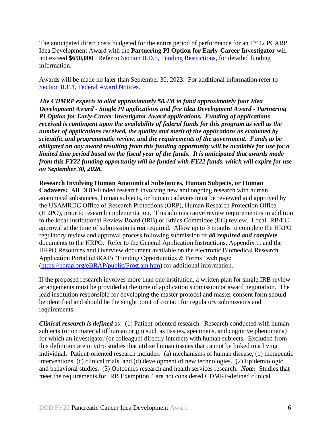The anticipated direct costs budgeted for the entire period of performance for an FY22 PCARP Idea Development Award with the **Partnering PI Option for Early-Career Investigator** will not exceed **\$650,000**. Refer to Section [II.D.5, Funding Restrictions,](#page-28-0) for detailed funding information.

Awards will be made no later than September 30, 2023. For additional information refer to [Section II.F.1, Federal Award Notices.](#page-33-2)

*The CDMRP expects to allot approximately \$8.4M to fund approximately four Idea Development Award - Single PI applications and five Idea Development Award - Partnering PI Option for Early-Career Investigator Award applications. Funding of applications received is contingent upon the availability of federal funds for this program as well as the number of applications received, the quality and merit of the applications as evaluated by scientific and programmatic review, and the requirements of the government. Funds to be obligated on any award resulting from this funding opportunity will be available for use for a limited time period based on the fiscal year of the funds. It is anticipated that awards made from this FY22 funding opportunity will be funded with FY22 funds, which will expire for use on September 30, 2028.*

#### **Research Involving Human Anatomical Substances, Human Subjects, or Human**

**Cadavers:** All DOD-funded research involving new and ongoing research with human anatomical substances, human subjects, or human cadavers must be reviewed and approved by the USAMRDC Office of Research Protections (ORP), Human Research Protection Office (HRPO), prior to research implementation. This administrative review requirement is in addition to the local Institutional Review Board (IRB) or Ethics Committee (EC) review. Local IRB/EC approval at the time of submission is *not* required. Allow up to 3 months to complete the HRPO regulatory review and approval process following submission of *all required and complete* documents to the HRPO. Refer to the General Application Instructions, Appendix 1, and the HRPO Resources and Overview document available on the electronic Biomedical Research Application Portal (eBRAP) "Funding Opportunities & Forms" web page [\(https://ebrap.org/eBRAP/public/Program.htm\)](https://ebrap.org/eBRAP/public/Program.htm) for additional information.

If the proposed research involves more than one institution, a written plan for single IRB review arrangements must be provided at the time of application submission or award negotiation. The lead institution responsible for developing the master protocol and master consent form should be identified and should be the single point of contact for regulatory submissions and requirements.

*Clinical research is defined* as: (1) Patient-oriented research. Research conducted with human subjects (or on material of human origin such as tissues, specimens, and cognitive phenomena) for which an investigator (or colleague) directly interacts with human subjects. Excluded from this definition are in vitro studies that utilize human tissues that cannot be linked to a living individual. Patient-oriented research includes: (a) mechanisms of human disease, (b) therapeutic interventions, (c) clinical trials, and (d) development of new technologies. (2) Epidemiologic and behavioral studies. (3) Outcomes research and health services research. *Note:* Studies that meet the requirements for IRB Exemption 4 are not considered CDMRP-defined clinical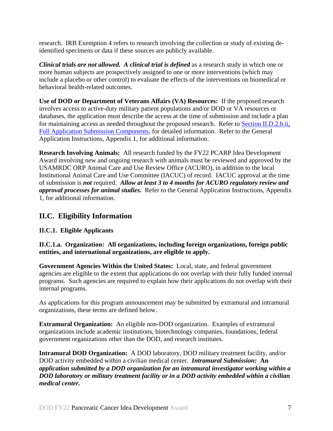research. IRB Exemption 4 refers to research involving the collection or study of existing deidentified specimens or data if these sources are publicly available.

*Clinical trials are not allowed. A clinical trial is defined* as a research study in which one or more human subjects are prospectively assigned to one or more interventions (which may include a placebo or other control) to evaluate the effects of the interventions on biomedical or behavioral health-related outcomes.

**Use of DOD or Department of Veterans Affairs (VA) Resources:** If the proposed research involves access to active-duty military patient populations and/or DOD or VA resources or databases, the application must describe the access at the time of submission and include a plan for maintaining access as needed throughout the proposed research. Refer to Section [II.D.2.b.ii,](#page-16-0)  [Full Application Submission Components,](#page-16-0) for detailed information. Refer to the General Application Instructions, Appendix 1, for additional information.

**Research Involving Animals:** All research funded by the FY22 PCARP Idea Development Award involving new and ongoing research with animals must be reviewed and approved by the USAMRDC ORP Animal Care and Use Review Office (ACURO), in addition to the local Institutional Animal Care and Use Committee (IACUC) of record. IACUC approval at the time of submission is *not* required. *Allow at least 3 to 4 months for ACURO regulatory review and approval processes for animal studies.* Refer to the General Application Instructions, Appendix 1, for additional information.

# <span id="page-6-0"></span>**II.C. Eligibility Information**

# <span id="page-6-1"></span>**II.C.1. Eligible Applicants**

<span id="page-6-2"></span>**II.C.1.a. Organization: All organizations, including foreign organizations, foreign public entities, and international organizations, are eligible to apply.** 

**Government Agencies Within the United States:** Local, state, and federal government agencies are eligible to the extent that applications do not overlap with their fully funded internal programs. Such agencies are required to explain how their applications do not overlap with their internal programs.

As applications for this program announcement may be submitted by extramural and intramural organizations, these terms are defined below.

**Extramural Organization:** An eligible non-DOD organization. Examples of extramural organizations include academic institutions, biotechnology companies, foundations, federal government organizations other than the DOD, and research institutes.

**Intramural DOD Organization:** A DOD laboratory, DOD military treatment facility, and/or DOD activity embedded within a civilian medical center. *Intramural Submission:* **An**  *application submitted by a DOD organization for an intramural investigator working within a DOD laboratory or military treatment facility or in a DOD activity embedded within a civilian medical center.*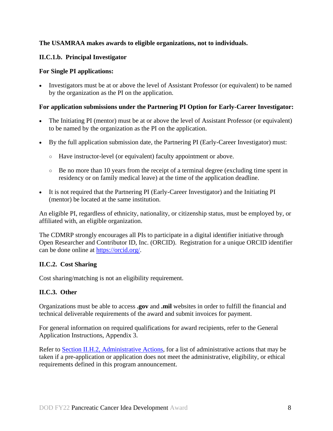#### **The USAMRAA makes awards to eligible organizations, not to individuals.**

# **II.C.1.b. Principal Investigator**

#### **For Single PI applications:**

 Investigators must be at or above the level of Assistant Professor (or equivalent) to be named by the organization as the PI on the application.

#### **For application submissions under the Partnering PI Option for Early-Career Investigator:**

- The Initiating PI (mentor) must be at or above the level of Assistant Professor (or equivalent) to be named by the organization as the PI on the application.
- By the full application submission date, the Partnering PI (Early-Career Investigator) must:
	- Have instructor-level (or equivalent) faculty appointment or above.
	- Be no more than 10 years from the receipt of a terminal degree (excluding time spent in residency or on family medical leave) at the time of the application deadline.
- It is not required that the Partnering PI (Early-Career Investigator) and the Initiating PI (mentor) be located at the same institution.

An eligible PI, regardless of ethnicity, nationality, or citizenship status, must be employed by, or affiliated with, an eligible organization.

The CDMRP strongly encourages all PIs to participate in a digital identifier initiative through Open Researcher and Contributor ID, Inc. (ORCID). Registration for a unique ORCID identifier can be done online at [https://orcid.org/.](https://orcid.org/)

# <span id="page-7-0"></span>**II.C.2. Cost Sharing**

Cost sharing/matching is not an eligibility requirement.

# <span id="page-7-1"></span>**II.C.3. Other**

Organizations must be able to access **.gov** and **.mil** websites in order to fulfill the financial and technical deliverable requirements of the award and submit invoices for payment.

For general information on required qualifications for award recipients, refer to the General Application Instructions, Appendix 3.

Refer to [Section II.H.2, Administrative Actions,](#page-36-5) for a list of administrative actions that may be taken if a pre-application or application does not meet the administrative, eligibility, or ethical requirements defined in this program announcement.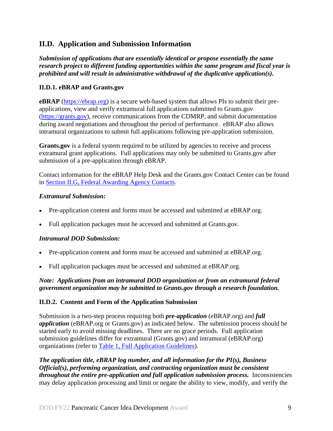# <span id="page-8-0"></span>**II.D. Application and Submission Information**

*Submission of applications that are essentially identical or propose essentially the same research project to different funding opportunities within the same program and fiscal year is prohibited and will result in administrative withdrawal of the duplicative application(s).*

#### <span id="page-8-1"></span>**II.D.1. eBRAP and Grants.gov**

**eBRAP** [\(https://ebrap.org\)](https://ebrap.org/) is a secure web-based system that allows PIs to submit their preapplications, view and verify extramural full applications submitted to Grants.gov [\(https://grants.gov\)](https://grants.gov/), receive communications from the CDMRP, and submit documentation during award negotiations and throughout the period of performance. eBRAP also allows intramural organizations to submit full applications following pre-application submission.

Grants.gov is a federal system required to be utilized by agencies to receive and process extramural grant applications. Full applications may only be submitted to Grants.gov after submission of a pre-application through eBRAP.

Contact information for the eBRAP Help Desk and the Grants.gov Contact Center can be found in [Section II.G, Federal Awarding Agency Contacts.](#page-36-0)

# *Extramural Submission:*

- Pre-application content and forms must be accessed and submitted at eBRAP.org.
- Full application packages must be accessed and submitted at Grants.gov.

# *Intramural DOD Submission:*

- Pre-application content and forms must be accessed and submitted at eBRAP.org.
- Full application packages must be accessed and submitted at eBRAP.org.

# *Note: Applications from an intramural DOD organization or from an extramural federal government organization may be submitted to Grants.gov through a research foundation.*

# <span id="page-8-2"></span>**II.D.2. Content and Form of the Application Submission**

Submission is a two-step process requiring both *pre-application* (eBRAP.org) and *full application* (eBRAP.org or Grants.gov) as indicated below. The submission process should be started early to avoid missing deadlines. There are no grace periods. Full application submission guidelines differ for extramural (Grants.gov) and intramural (eBRAP.org) organizations (refer to [Table 1, Full Application Guidelines\)](#page-14-0).

*The application title, eBRAP log number, and all information for the PI(s), Business Official(s), performing organization, and contracting organization must be consistent throughout the entire pre-application and full application submission process.* Inconsistencies may delay application processing and limit or negate the ability to view, modify, and verify the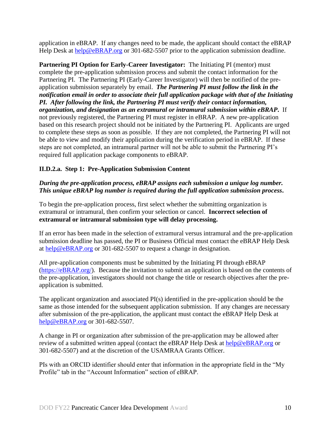application in eBRAP. If any changes need to be made, the applicant should contact the eBRAP Help Desk at [help@eBRAP.org](mailto:help@eBRAP.org) or 301-682-5507 prior to the application submission deadline.

**Partnering PI Option for Early-Career Investigator:** The Initiating PI (mentor) must complete the pre-application submission process and submit the contact information for the Partnering PI. The Partnering PI (Early-Career Investigator) will then be notified of the preapplication submission separately by email. *The Partnering PI must follow the link in the notification email in order to associate their full application package with that of the Initiating PI. After following the link, the Partnering PI must verify their contact information, organization, and designation as an extramural or intramural submission within eBRAP***.** If not previously registered, the Partnering PI must register in eBRAP. A new pre-application based on this research project should not be initiated by the Partnering PI. Applicants are urged to complete these steps as soon as possible. If they are not completed, the Partnering PI will not be able to view and modify their application during the verification period in eBRAP. If these steps are not completed, an intramural partner will not be able to submit the Partnering PI's required full application package components to eBRAP.

# **II.D.2.a. Step 1: Pre-Application Submission Content**

#### *During the pre-application process, eBRAP assigns each submission a unique log number. This unique eBRAP log number is required during the full application submission process***.**

To begin the pre-application process, first select whether the submitting organization is extramural or intramural, then confirm your selection or cancel. **Incorrect selection of extramural or intramural submission type will delay processing.**

If an error has been made in the selection of extramural versus intramural and the pre-application submission deadline has passed, the PI or Business Official must contact the eBRAP Help Desk at [help@eBRAP.org](mailto:help@eBRAP.org) or 301-682-5507 to request a change in designation.

All pre-application components must be submitted by the Initiating PI through eBRAP [\(https://eBRAP.org/\)](https://ebrap.org/). Because the invitation to submit an application is based on the contents of the pre-application, investigators should not change the title or research objectives after the preapplication is submitted.

The applicant organization and associated PI(s) identified in the pre-application should be the same as those intended for the subsequent application submission. If any changes are necessary after submission of the pre-application, the applicant must contact the eBRAP Help Desk at [help@eBRAP.org](mailto:help@eBRAP.org) or 301-682-5507.

A change in PI or organization after submission of the pre-application may be allowed after review of a submitted written appeal (contact the eBRAP Help Desk at [help@eBRAP.org](mailto:help@eBRAP.org) or 301-682-5507) and at the discretion of the USAMRAA Grants Officer.

PIs with an ORCID identifier should enter that information in the appropriate field in the "My Profile" tab in the "Account Information" section of eBRAP.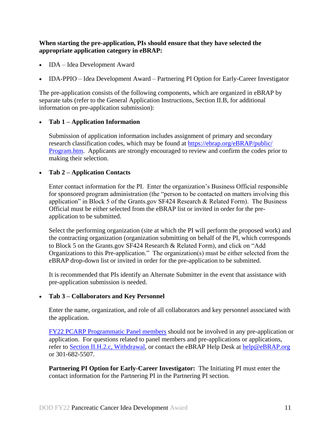#### **When starting the pre-application, PIs should ensure that they have selected the appropriate application category in eBRAP:**

- IDA Idea Development Award
- IDA-PPIO Idea Development Award Partnering PI Option for Early-Career Investigator

The pre-application consists of the following components, which are organized in eBRAP by separate tabs (refer to the General Application Instructions, Section II.B, for additional information on pre-application submission):

#### **Tab 1 – Application Information**

Submission of application information includes assignment of primary and secondary research classification codes, which may be found at [https://ebrap.org/eBRAP/public/](https://ebrap.org/eBRAP/public/Program.htm) [Program.htm.](https://ebrap.org/eBRAP/public/Program.htm) Applicants are strongly encouraged to review and confirm the codes prior to making their selection.

#### **Tab 2 – Application Contacts**

Enter contact information for the PI. Enter the organization's Business Official responsible for sponsored program administration (the "person to be contacted on matters involving this application" in Block 5 of the Grants.gov SF424 Research & Related Form). The Business Official must be either selected from the eBRAP list or invited in order for the preapplication to be submitted.

Select the performing organization (site at which the PI will perform the proposed work) and the contracting organization (organization submitting on behalf of the PI, which corresponds to Block 5 on the Grants.gov SF424 Research & Related Form), and click on "Add Organizations to this Pre-application." The organization(s) must be either selected from the eBRAP drop-down list or invited in order for the pre-application to be submitted.

It is recommended that PIs identify an Alternate Submitter in the event that assistance with pre-application submission is needed.

#### **Tab 3 – Collaborators and Key Personnel**

Enter the name, organization, and role of all collaborators and key personnel associated with the application.

FY22 [PCARP Programmatic Panel members](https://cdmrp.army.mil/pcarp/panels/panels22) should not be involved in any pre-application or application. For questions related to panel members and pre-applications or applications, refer to Section [II.H.2.c, Withdrawal,](#page-37-0) or contact the eBRAP Help Desk at [help@eBRAP.org](mailto:help@eBRAP.org) or 301-682-5507.

**Partnering PI Option for Early-Career Investigator:** The Initiating PI must enter the contact information for the Partnering PI in the Partnering PI section.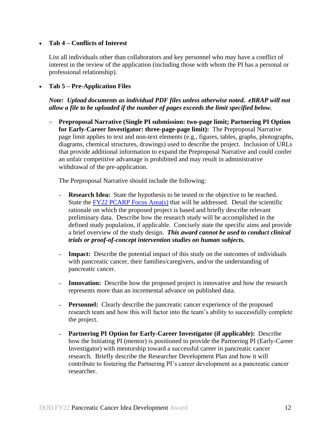#### **Tab 4 – Conflicts of Interest**

List all individuals other than collaborators and key personnel who may have a conflict of interest in the review of the application (including those with whom the PI has a personal or professional relationship).

#### **Tab 5 – Pre-Application Files**

*Note: Upload documents as individual PDF files unless otherwise noted. eBRAP will not allow a file to be uploaded if the number of pages exceeds the limit specified below.* 

○ **Preproposal Narrative (Single PI submission: two-page limit; Partnering PI Option for Early-Career Investigator: three-page-page limit):** The Preproposal Narrative page limit applies to text and non-text elements (e.g., figures, tables, graphs, photographs, diagrams, chemical structures, drawings) used to describe the project. Inclusion of URLs that provide additional information to expand the Preproposal Narrative and could confer an unfair competitive advantage is prohibited and may result in administrative withdrawal of the pre-application.

The Preproposal Narrative should include the following:

- **– Research Idea:** State the hypothesis to be tested or the objective to be reached. State the [FY22 PCARP Focus Area\(s\)](#page-2-2) that will be addressed. Detail the scientific rationale on which the proposed project is based and briefly describe relevant preliminary data. Describe how the research study will be accomplished in the defined study population, if applicable. Concisely state the specific aims and provide a brief overview of the study design. *This award cannot be used to conduct clinical trials or proof-of-concept intervention studies on human subjects.*
- **– Impact:** Describe the potential impact of this study on the outcomes of individuals with pancreatic cancer, their families/caregivers, and/or the understanding of pancreatic cancer.
- **– Innovation:** Describe how the proposed project is innovative and how the research represents more than an incremental advance on published data.
- **– Personnel:** Clearly describe the pancreatic cancer experience of the proposed research team and how this will factor into the team's ability to successfully complete the project.
- **– Partnering PI Option for Early-Career Investigator (if applicable):** Describe how the Initiating PI (mentor) is positioned to provide the Partnering PI (Early-Career Investigator) with mentorship toward a successful career in pancreatic cancer research. Briefly describe the Researcher Development Plan and how it will contribute to fostering the Partnering PI's career development as a pancreatic cancer researcher.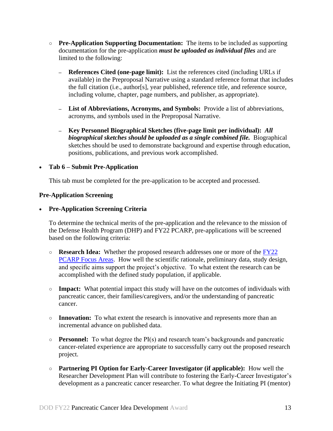- **○ Pre-Application Supporting Documentation:** The items to be included as supporting documentation for the pre-application *must be uploaded as individual files* and are limited to the following:
	- **– References Cited (one-page limit):** List the references cited (including URLs if available) in the Preproposal Narrative using a standard reference format that includes the full citation (i.e., author[s], year published, reference title, and reference source, including volume, chapter, page numbers, and publisher, as appropriate).
	- **– List of Abbreviations, Acronyms, and Symbols:** Provide a list of abbreviations, acronyms, and symbols used in the Preproposal Narrative.
	- **– Key Personnel Biographical Sketches (five-page limit per individual):** *All biographical sketches should be uploaded as a single combined file.* Biographical sketches should be used to demonstrate background and expertise through education, positions, publications, and previous work accomplished.

#### **Tab 6 – Submit Pre-Application**

This tab must be completed for the pre-application to be accepted and processed.

#### **Pre-Application Screening**

**Pre-Application Screening Criteria**

To determine the technical merits of the pre-application and the relevance to the mission of the Defense Health Program (DHP) and FY22 PCARP, pre-applications will be screened based on the following criteria:

- **Research Idea:** Whether the proposed research addresses one or more of the [FY22](#page-2-2)  [PCARP Focus Areas.](#page-2-2) How well the scientific rationale, preliminary data, study design, and specific aims support the project's objective. To what extent the research can be accomplished with the defined study population, if applicable.
- **Impact:** What potential impact this study will have on the outcomes of individuals with pancreatic cancer, their families/caregivers, and/or the understanding of pancreatic cancer.
- **Innovation:** To what extent the research is innovative and represents more than an incremental advance on published data.
- **Personnel:** To what degree the PI(s) and research team's backgrounds and pancreatic cancer-related experience are appropriate to successfully carry out the proposed research project.
- **Partnering PI Option for Early-Career Investigator (if applicable):** How well the Researcher Development Plan will contribute to fostering the Early-Career Investigator's development as a pancreatic cancer researcher. To what degree the Initiating PI (mentor)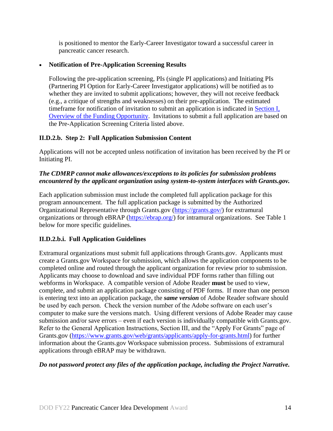is positioned to mentor the Early-Career Investigator toward a successful career in pancreatic cancer research.

# **Notification of Pre-Application Screening Results**

Following the pre-application screening, PIs (single PI applications) and Initiating PIs (Partnering PI Option for Early-Career Investigator applications) will be notified as to whether they are invited to submit applications; however, they will not receive feedback (e.g., a critique of strengths and weaknesses) on their pre-application. The estimated timeframe for notification of invitation to submit an application is indicated in [Section](#page-0-1) I, [Overview of the Funding Opportunity.](#page-0-1) Invitations to submit a full application are based on the Pre-Application Screening Criteria listed above.

# **II.D.2.b. Step 2: Full Application Submission Content**

Applications will not be accepted unless notification of invitation has been received by the PI or Initiating PI.

# *The CDMRP cannot make allowances/exceptions to its policies for submission problems encountered by the applicant organization using system-to-system interfaces with Grants.gov.*

Each application submission must include the completed full application package for this program announcement. The full application package is submitted by the Authorized Organizational Representative through Grants.gov [\(https://grants.gov/\)](https://www.grants.gov/) for extramural organizations or through eBRAP [\(https://ebrap.org/\)](https://ebrap.org/) for intramural organizations. See Table 1 below for more specific guidelines.

# **II.D.2.b.i. Full Application Guidelines**

Extramural organizations must submit full applications through Grants.gov. Applicants must create a Grants.gov Workspace for submission, which allows the application components to be completed online and routed through the applicant organization for review prior to submission. Applicants may choose to download and save individual PDF forms rather than filling out webforms in Workspace. A compatible version of Adobe Reader **must** be used to view, complete, and submit an application package consisting of PDF forms. If more than one person is entering text into an application package, the *same version* of Adobe Reader software should be used by each person. Check the version number of the Adobe software on each user's computer to make sure the versions match. Using different versions of Adobe Reader may cause submission and/or save errors – even if each version is individually compatible with Grants.gov. Refer to the General Application Instructions, Section III, and the "Apply For Grants" page of Grants.gov [\(https://www.grants.gov/web/grants/applicants/apply-for-grants.html\)](https://www.grants.gov/web/grants/applicants/apply-for-grants.html) for further information about the Grants.gov Workspace submission process. Submissions of extramural applications through eBRAP may be withdrawn.

#### *Do not password protect any files of the application package, including the Project Narrative.*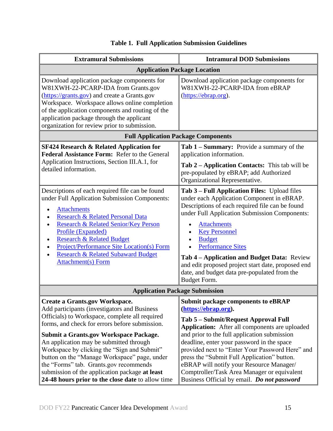<span id="page-14-0"></span>

| <b>Extramural Submissions</b>                                                                                                                                                                                                                                                                                                                                                                                                                                                                                                         | <b>Intramural DOD Submissions</b>                                                                                                                                                                                                                                                                                                                                                                                                                                                                            |  |  |
|---------------------------------------------------------------------------------------------------------------------------------------------------------------------------------------------------------------------------------------------------------------------------------------------------------------------------------------------------------------------------------------------------------------------------------------------------------------------------------------------------------------------------------------|--------------------------------------------------------------------------------------------------------------------------------------------------------------------------------------------------------------------------------------------------------------------------------------------------------------------------------------------------------------------------------------------------------------------------------------------------------------------------------------------------------------|--|--|
| <b>Application Package Location</b>                                                                                                                                                                                                                                                                                                                                                                                                                                                                                                   |                                                                                                                                                                                                                                                                                                                                                                                                                                                                                                              |  |  |
| Download application package components for<br>W81XWH-22-PCARP-IDA from Grants.gov<br>(https://grants.gov) and create a Grants.gov<br>Workspace. Workspace allows online completion<br>of the application components and routing of the<br>application package through the applicant<br>organization for review prior to submission.                                                                                                                                                                                                  | Download application package components for<br>W81XWH-22-PCARP-IDA from eBRAP<br>(https://ebrap.org).                                                                                                                                                                                                                                                                                                                                                                                                        |  |  |
| <b>Full Application Package Components</b>                                                                                                                                                                                                                                                                                                                                                                                                                                                                                            |                                                                                                                                                                                                                                                                                                                                                                                                                                                                                                              |  |  |
| <b>SF424 Research &amp; Related Application for</b><br>Federal Assistance Form: Refer to the General<br>Application Instructions, Section III.A.1, for<br>detailed information.                                                                                                                                                                                                                                                                                                                                                       | <b>Tab 1 – Summary:</b> Provide a summary of the<br>application information.<br><b>Tab 2 – Application Contacts:</b> This tab will be<br>pre-populated by eBRAP; add Authorized<br>Organizational Representative.                                                                                                                                                                                                                                                                                            |  |  |
| Descriptions of each required file can be found<br>under Full Application Submission Components:<br><b>Attachments</b><br>$\epsilon$<br>Research & Related Personal Data<br><b>Research &amp; Related Senior/Key Person</b><br>Profile (Expanded)<br><b>Research &amp; Related Budget</b><br><b>Project/Performance Site Location(s) Form</b><br><b>Research &amp; Related Subaward Budget</b><br>Attachment(s) Form                                                                                                                  | Tab 3 – Full Application Files: Upload files<br>under each Application Component in eBRAP.<br>Descriptions of each required file can be found<br>under Full Application Submission Components:<br><b>Attachments</b><br>$\bullet$<br><b>Key Personnel</b><br><b>Budget</b><br><b>Performance Sites</b><br>Tab 4 – Application and Budget Data: Review<br>and edit proposed project start date, proposed end<br>date, and budget data pre-populated from the<br>Budget Form.                                  |  |  |
| <b>Application Package Submission</b>                                                                                                                                                                                                                                                                                                                                                                                                                                                                                                 |                                                                                                                                                                                                                                                                                                                                                                                                                                                                                                              |  |  |
| <b>Create a Grants.gov Workspace.</b><br>Add participants (investigators and Business<br>Officials) to Workspace, complete all required<br>forms, and check for errors before submission.<br><b>Submit a Grants.gov Workspace Package.</b><br>An application may be submitted through<br>Workspace by clicking the "Sign and Submit"<br>button on the "Manage Workspace" page, under<br>the "Forms" tab. Grants.gov recommends<br>submission of the application package at least<br>24-48 hours prior to the close date to allow time | <b>Submit package components to eBRAP</b><br>(https://ebrap.org).<br>Tab 5 – Submit/Request Approval Full<br><b>Application:</b> After all components are uploaded<br>and prior to the full application submission<br>deadline, enter your password in the space<br>provided next to "Enter Your Password Here" and<br>press the "Submit Full Application" button.<br>eBRAP will notify your Resource Manager/<br>Comptroller/Task Area Manager or equivalent<br>Business Official by email. Do not password |  |  |

# **Table 1. Full Application Submission Guidelines**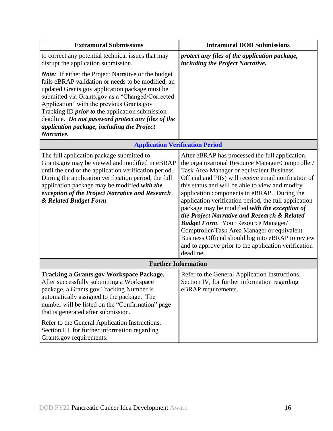| <b>Extramural Submissions</b>                                                                                                                                                                                                                                                                                                                                                                                                                   | <b>Intramural DOD Submissions</b>                                                                                                                                                                                                                                                                                                                                                                                                                                                                                                                                                                                                                                                           |  |
|-------------------------------------------------------------------------------------------------------------------------------------------------------------------------------------------------------------------------------------------------------------------------------------------------------------------------------------------------------------------------------------------------------------------------------------------------|---------------------------------------------------------------------------------------------------------------------------------------------------------------------------------------------------------------------------------------------------------------------------------------------------------------------------------------------------------------------------------------------------------------------------------------------------------------------------------------------------------------------------------------------------------------------------------------------------------------------------------------------------------------------------------------------|--|
| to correct any potential technical issues that may<br>disrupt the application submission.                                                                                                                                                                                                                                                                                                                                                       | protect any files of the application package,<br>including the Project Narrative.                                                                                                                                                                                                                                                                                                                                                                                                                                                                                                                                                                                                           |  |
| <b>Note:</b> If either the Project Narrative or the budget<br>fails eBRAP validation or needs to be modified, an<br>updated Grants.gov application package must be<br>submitted via Grants.gov as a "Changed/Corrected<br>Application" with the previous Grants.gov<br>Tracking ID <i>prior to</i> the application submission<br>deadline. Do not password protect any files of the<br>application package, including the Project<br>Narrative. |                                                                                                                                                                                                                                                                                                                                                                                                                                                                                                                                                                                                                                                                                             |  |
| <b>Application Verification Period</b>                                                                                                                                                                                                                                                                                                                                                                                                          |                                                                                                                                                                                                                                                                                                                                                                                                                                                                                                                                                                                                                                                                                             |  |
| The full application package submitted to<br>Grants.gov may be viewed and modified in eBRAP<br>until the end of the application verification period.<br>During the application verification period, the full<br>application package may be modified with the<br>exception of the Project Narrative and Research<br>& Related Budget Form.                                                                                                       | After eBRAP has processed the full application,<br>the organizational Resource Manager/Comptroller/<br>Task Area Manager or equivalent Business<br>Official and PI(s) will receive email notification of<br>this status and will be able to view and modify<br>application components in eBRAP. During the<br>application verification period, the full application<br>package may be modified with the exception of<br>the Project Narrative and Research & Related<br><b>Budget Form.</b> Your Resource Manager/<br>Comptroller/Task Area Manager or equivalent<br>Business Official should log into eBRAP to review<br>and to approve prior to the application verification<br>deadline. |  |
| <b>Further Information</b>                                                                                                                                                                                                                                                                                                                                                                                                                      |                                                                                                                                                                                                                                                                                                                                                                                                                                                                                                                                                                                                                                                                                             |  |
| <b>Tracking a Grants.gov Workspace Package.</b><br>After successfully submitting a Workspace<br>package, a Grants.gov Tracking Number is<br>automatically assigned to the package. The<br>number will be listed on the "Confirmation" page<br>that is generated after submission.<br>Refer to the General Application Instructions,<br>Section III, for further information regarding<br>Grants.gov requirements.                               | Refer to the General Application Instructions,<br>Section IV, for further information regarding<br>eBRAP requirements.                                                                                                                                                                                                                                                                                                                                                                                                                                                                                                                                                                      |  |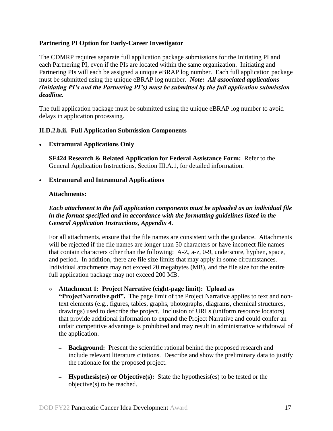#### **Partnering PI Option for Early-Career Investigator**

The CDMRP requires separate full application package submissions for the Initiating PI and each Partnering PI, even if the PIs are located within the same organization. Initiating and Partnering PIs will each be assigned a unique eBRAP log number. Each full application package must be submitted using the unique eBRAP log number. *Note: All associated applications (Initiating PI's and the Partnering PI's) must be submitted by the full application submission deadline.*

The full application package must be submitted using the unique eBRAP log number to avoid delays in application processing.

#### <span id="page-16-0"></span>**II.D.2.b.ii. Full Application Submission Components**

#### **Extramural Applications Only**

**SF424 Research & Related Application for Federal Assistance Form:** Refer to the General Application Instructions, Section III.A.1, for detailed information.

#### **Extramural and Intramural Applications**

#### <span id="page-16-1"></span>**Attachments:**

# *Each attachment to the full application components must be uploaded as an individual file in the format specified and in accordance with the formatting guidelines listed in the General Application Instructions, Appendix 4.*

For all attachments, ensure that the file names are consistent with the guidance. Attachments will be rejected if the file names are longer than 50 characters or have incorrect file names that contain characters other than the following: A-Z, a-z, 0-9, underscore, hyphen, space, and period. In addition, there are file size limits that may apply in some circumstances. Individual attachments may not exceed 20 megabytes (MB), and the file size for the entire full application package may not exceed 200 MB.

#### ○ **Attachment 1: Project Narrative (eight-page limit): Upload as**

**"ProjectNarrative.pdf".** The page limit of the Project Narrative applies to text and nontext elements (e.g., figures, tables, graphs, photographs, diagrams, chemical structures, drawings) used to describe the project. Inclusion of URLs (uniform resource locators) that provide additional information to expand the Project Narrative and could confer an unfair competitive advantage is prohibited and may result in administrative withdrawal of the application.

- **– Background:** Present the scientific rational behind the proposed research and include relevant literature citations. Describe and show the preliminary data to justify the rationale for the proposed project.
- **– Hypothesis(es) or Objective(s):** State the hypothesis(es) to be tested or the objective(s) to be reached.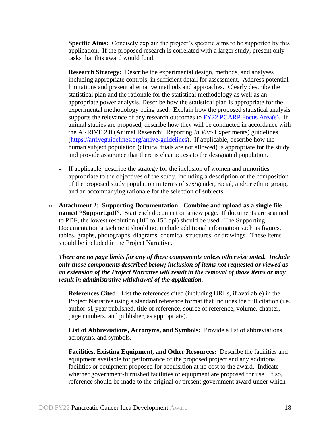- **– Specific Aims:** Concisely explain the project's specific aims to be supported by this application. If the proposed research is correlated with a larger study, present only tasks that this award would fund.
- **– Research Strategy:** Describe the experimental design, methods, and analyses including appropriate controls, in sufficient detail for assessment. Address potential limitations and present alternative methods and approaches. Clearly describe the statistical plan and the rationale for the statistical methodology as well as an appropriate power analysis. Describe how the statistical plan is appropriate for the experimental methodology being used. Explain how the proposed statistical analysis supports the relevance of any research outcomes to  $FY22$  PCARP Focus Area(s). If animal studies are proposed, describe how they will be conducted in accordance with the ARRIVE 2.0 (Animal Research: Reporting *In Vivo* Experiments) guidelines [\(https://arriveguidelines.org/arrive-guidelines\)](https://arriveguidelines.org/arrive-guidelines). If applicable, describe how the human subject population (clinical trials are not allowed) is appropriate for the study and provide assurance that there is clear access to the designated population.
- **–** If applicable, describe the strategy for the inclusion of women and minorities appropriate to the objectives of the study, including a description of the composition of the proposed study population in terms of sex/gender, racial, and/or ethnic group, and an accompanying rationale for the selection of subjects.
- **Attachment 2: Supporting Documentation: Combine and upload as a single file named "Support.pdf".** Start each document on a new page. If documents are scanned to PDF, the lowest resolution (100 to 150 dpi) should be used. The Supporting Documentation attachment should not include additional information such as figures, tables, graphs, photographs, diagrams, chemical structures, or drawings. These items should be included in the Project Narrative.

*There are no page limits for any of these components unless otherwise noted. Include only those components described below; inclusion of items not requested or viewed as an extension of the Project Narrative will result in the removal of those items or may result in administrative withdrawal of the application.*

**References Cited:** List the references cited (including URLs, if available) in the Project Narrative using a standard reference format that includes the full citation (i.e., author[s], year published, title of reference, source of reference, volume, chapter, page numbers, and publisher, as appropriate).

**List of Abbreviations, Acronyms, and Symbols:** Provide a list of abbreviations, acronyms, and symbols.

**Facilities, Existing Equipment, and Other Resources:** Describe the facilities and equipment available for performance of the proposed project and any additional facilities or equipment proposed for acquisition at no cost to the award. Indicate whether government-furnished facilities or equipment are proposed for use. If so, reference should be made to the original or present government award under which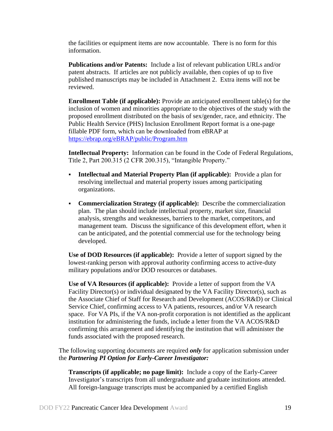the facilities or equipment items are now accountable. There is no form for this information.

**Publications and/or Patents:** Include a list of relevant publication URLs and/or patent abstracts. If articles are not publicly available, then copies of up to five published manuscripts may be included in Attachment 2. Extra items will not be reviewed.

**Enrollment Table (if applicable):** Provide an anticipated enrollment table(s) for the inclusion of women and minorities appropriate to the objectives of the study with the proposed enrollment distributed on the basis of sex/gender, race, and ethnicity. The Public Health Service (PHS) Inclusion Enrollment Report format is a one-page fillable PDF form, which can be downloaded from eBRAP at <https://ebrap.org/eBRAP/public/Program.htm>

**Intellectual Property:** Information can be found in the Code of Federal Regulations, Title 2, Part 200.315 (2 CFR 200.315), "Intangible Property."

- **Intellectual and Material Property Plan (if applicable):** Provide a plan for resolving intellectual and material property issues among participating organizations.
- **Commercialization Strategy (if applicable):** Describe the commercialization plan. The plan should include intellectual property, market size, financial analysis, strengths and weaknesses, barriers to the market, competitors, and management team. Discuss the significance of this development effort, when it can be anticipated, and the potential commercial use for the technology being developed.

**Use of DOD Resources (if applicable):** Provide a letter of support signed by the lowest-ranking person with approval authority confirming access to active-duty military populations and/or DOD resources or databases.

**Use of VA Resources (if applicable):** Provide a letter of support from the VA Facility Director(s) or individual designated by the VA Facility Director(s), such as the Associate Chief of Staff for Research and Development (ACOS/R&D) or Clinical Service Chief, confirming access to VA patients, resources, and/or VA research space. For VA PIs, if the VA non-profit corporation is not identified as the applicant institution for administering the funds, include a letter from the VA ACOS/R&D confirming this arrangement and identifying the institution that will administer the funds associated with the proposed research.

The following supporting documents are required *only* for application submission under the *Partnering PI Option for Early-Career Investigator:*

**Transcripts (if applicable; no page limit):** Include a copy of the Early-Career Investigator's transcripts from all undergraduate and graduate institutions attended. All foreign-language transcripts must be accompanied by a certified English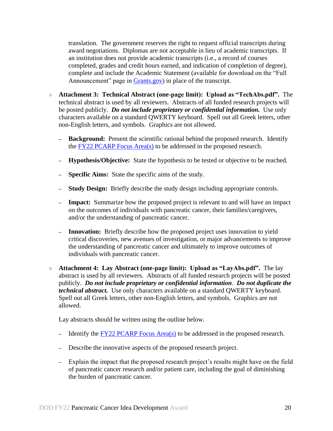translation. The government reserves the right to request official transcripts during award negotiations. Diplomas are not acceptable in lieu of academic transcripts. If an institution does not provide academic transcripts (i.e., a record of courses completed, grades and credit hours earned, and indication of completion of degree), complete and include the Academic Statement (available for download on the "Full Announcement" page in [Grants.gov\)](https://grants.gov/) in place of the transcript.

- **Attachment 3: Technical Abstract (one-page limit): Upload as "TechAbs.pdf".** The technical abstract is used by all reviewers. Abstracts of all funded research projects will be posted publicly. *Do not include proprietary or confidential information*. Use only characters available on a standard QWERTY keyboard. Spell out all Greek letters, other non-English letters, and symbols. Graphics are not allowed.
	- **– Background:** Present the scientific rational behind the proposed research. Identify the FY22 [PCARP Focus Area\(s\)](#page-2-2) to be addressed in the proposed research.
	- **– Hypothesis/Objective:** State the hypothesis to be tested or objective to be reached.
	- **– Specific Aims:** State the specific aims of the study.
	- **– Study Design:** Briefly describe the study design including appropriate controls.
	- **– Impact:** Summarize how the proposed project is relevant to and will have an impact on the outcomes of individuals with pancreatic cancer, their families/caregivers, and/or the understanding of pancreatic cancer.
	- **– Innovation:** Briefly describe how the proposed project uses innovation to yield critical discoveries, new avenues of investigation, or major advancements to improve the understanding of pancreatic cancer and ultimately to improve outcomes of individuals with pancreatic cancer.
- **Attachment 4: Lay Abstract (one-page limit): Upload as "LayAbs.pdf".** The lay abstract is used by all reviewers. Abstracts of all funded research projects will be posted publicly. *Do not include proprietary or confidential information*. *Do not duplicate the technical abstract.* Use only characters available on a standard QWERTY keyboard. Spell out all Greek letters, other non-English letters, and symbols. Graphics are not allowed.

Lay abstracts should be written using the outline below.

- **–** Identify the [FY22 PCARP Focus Area\(s\)](#page-2-2) to be addressed in the proposed research.
- **–** Describe the innovative aspects of the proposed research project.
- **–** Explain the impact that the proposed research project's results might have on the field of pancreatic cancer research and/or patient care, including the goal of diminishing the burden of pancreatic cancer.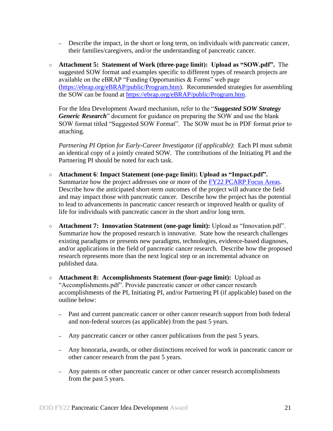- **–** Describe the impact, in the short or long term, on individuals with pancreatic cancer, their families/caregivers, and/or the understanding of pancreatic cancer.
- **Attachment 5: Statement of Work (three-page limit): Upload as "SOW.pdf".** The suggested SOW format and examples specific to different types of research projects are available on the eBRAP "Funding Opportunities & Forms" web page [\(https://ebrap.org/eBRAP/public/Program.htm\)](https://ebrap.org/eBRAP/public/Program.htm). Recommended strategies for assembling the SOW can be found at [https://ebrap.org/eBRAP/public/Program.htm.](https://ebrap.org/eBRAP/public/Program.htm)

For the Idea Development Award mechanism, refer to the "*Suggested SOW Strategy Generic Research*" document for guidance on preparing the SOW and use the blank SOW format titled "Suggested SOW Format". The SOW must be in PDF format prior to attaching.

*Partnering PI Option for Early-Career Investigator (if applicable)*: Each PI must submit an identical copy of a jointly created SOW. The contributions of the Initiating PI and the Partnering PI should be noted for each task.

- **Attachment 6**: **Impact Statement (one-page limit): Upload as "Impact.pdf".** Summarize how the project addresses one or more of the FY22 [PCARP Focus Areas.](#page-2-2) Describe how the anticipated short-term outcomes of the project will advance the field and may impact those with pancreatic cancer. Describe how the project has the potential to lead to advancements in pancreatic cancer research or improved health or quality of life for individuals with pancreatic cancer in the short and/or long term.
- **Attachment 7: Innovation Statement (one-page limit):** Upload as "Innovation.pdf". Summarize how the proposed research is innovative. State how the research challenges existing paradigms or presents new paradigms, technologies, evidence-based diagnoses, and/or applications in the field of pancreatic cancer research. Describe how the proposed research represents more than the next logical step or an incremental advance on published data.
- **Attachment 8: Accomplishments Statement (four-page limit):** Upload as "Accomplishments.pdf". Provide pancreatic cancer or other cancer research accomplishments of the PI, Initiating PI, and/or Partnering PI (if applicable) based on the outline below:
	- **–** Past and current pancreatic cancer or other cancer research support from both federal and non-federal sources (as applicable) from the past 5 years.
	- **–** Any pancreatic cancer or other cancer publications from the past 5 years.
	- **–** Any honoraria, awards, or other distinctions received for work in pancreatic cancer or other cancer research from the past 5 years.
	- **–** Any patents or other pancreatic cancer or other cancer research accomplishments from the past 5 years.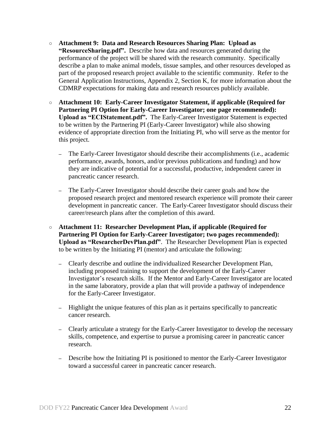- **Attachment 9: Data and Research Resources Sharing Plan: Upload as "ResourceSharing.pdf".** Describe how data and resources generated during the performance of the project will be shared with the research community. Specifically describe a plan to make animal models, tissue samples, and other resources developed as part of the proposed research project available to the scientific community. Refer to the General Application Instructions, Appendix 2, Section K, for more information about the CDMRP expectations for making data and research resources publicly available.
- **Attachment 10: Early-Career Investigator Statement, if applicable (Required for Partnering PI Option for Early-Career Investigator; one page recommended): Upload as "ECIStatement.pdf".** The Early-Career Investigator Statement is expected to be written by the Partnering PI (Early-Career Investigator) while also showing evidence of appropriate direction from the Initiating PI, who will serve as the mentor for this project.
	- **–** The Early-Career Investigator should describe their accomplishments (i.e., academic performance, awards, honors, and/or previous publications and funding) and how they are indicative of potential for a successful, productive, independent career in pancreatic cancer research.
	- **–** The Early-Career Investigator should describe their career goals and how the proposed research project and mentored research experience will promote their career development in pancreatic cancer. The Early-Career Investigator should discuss their career/research plans after the completion of this award.
- **Attachment 11: Researcher Development Plan, if applicable (Required for Partnering PI Option for Early-Career Investigator; two pages recommended): Upload as "ResearcherDevPlan.pdf"**. The Researcher Development Plan is expected to be written by the Initiating PI (mentor) and articulate the following:
	- **–** Clearly describe and outline the individualized Researcher Development Plan, including proposed training to support the development of the Early-Career Investigator's research skills. If the Mentor and Early-Career Investigator are located in the same laboratory, provide a plan that will provide a pathway of independence for the Early-Career Investigator.
	- **–** Highlight the unique features of this plan as it pertains specifically to pancreatic cancer research.
	- **–** Clearly articulate a strategy for the Early-Career Investigator to develop the necessary skills, competence, and expertise to pursue a promising career in pancreatic cancer research.
	- **–** Describe how the Initiating PI is positioned to mentor the Early-Career Investigator toward a successful career in pancreatic cancer research.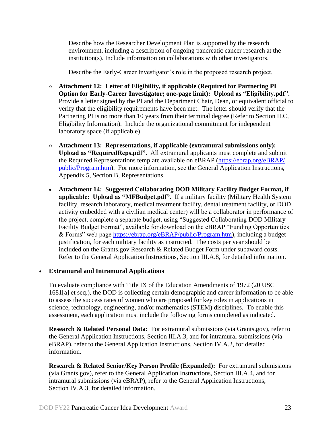- **–** Describe how the Researcher Development Plan is supported by the research environment, including a description of ongoing pancreatic cancer research at the institution(s). Include information on collaborations with other investigators.
- **–** Describe the Early-Career Investigator's role in the proposed research project.
- **Attachment 12: Letter of Eligibility, if applicable (Required for Partnering PI Option for Early-Career Investigator; one-page limit): Upload as "Eligibility.pdf".** Provide a letter signed by the PI and the Department Chair, Dean, or equivalent official to verify that the eligibility requirements have been met. The letter should verify that the Partnering PI is no more than 10 years from their terminal degree (Refer to Section II.C, Eligibility Information). Include the organizational commitment for independent laboratory space (if applicable).
- **Attachment 13: Representations, if applicable (extramural submissions only): Upload as "RequiredReps.pdf".** All extramural applicants must complete and submit the Required Representations template available on eBRAP [\(https://ebrap.org/eBRAP/](https://ebrap.org/eBRAP/public/Program.htm) [public/Program.htm\)](https://ebrap.org/eBRAP/public/Program.htm). For more information, see the General Application Instructions, Appendix 5, Section B, Representations.
- <span id="page-22-2"></span> **Attachment 14: Suggested Collaborating DOD Military Facility Budget Format, if applicable: Upload as "MFBudget.pdf".** If a military facility (Military Health System facility, research laboratory, medical treatment facility, dental treatment facility, or DOD activity embedded with a civilian medical center) will be a collaborator in performance of the project, complete a separate budget, using "Suggested Collaborating DOD Military Facility Budget Format", available for download on the eBRAP "Funding Opportunities & Forms" web page [https://ebrap.org/eBRAP/public/Program.htm\)](https://ebrap.org/eBRAP/public/Program.htm), including a budget justification, for each military facility as instructed. The costs per year should be included on the Grants.gov Research & Related Budget Form under subaward costs. Refer to the General Application Instructions, Section III.A.8, for detailed information.

#### **Extramural and Intramural Applications**

To evaluate compliance with Title IX of the Education Amendments of 1972 (20 USC 1681[a] et seq.), the DOD is collecting certain demographic and career information to be able to assess the success rates of women who are proposed for key roles in applications in science, technology, engineering, and/or mathematics (STEM) disciplines. To enable this assessment, each application must include the following forms completed as indicated.

<span id="page-22-0"></span>**Research & Related Personal Data:** For extramural submissions (via Grants.gov), refer to the General Application Instructions, Section III.A.3, and for intramural submissions (via eBRAP), refer to the General Application Instructions, Section IV.A.2, for detailed information.

<span id="page-22-1"></span>**Research & Related Senior/Key Person Profile (Expanded):** For extramural submissions (via Grants.gov), refer to the General Application Instructions, Section III.A.4, and for intramural submissions (via eBRAP), refer to the General Application Instructions, Section IV.A.3, for detailed information.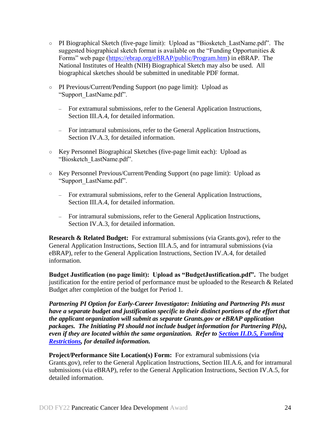- PI Biographical Sketch (five-page limit): Upload as "Biosketch\_LastName.pdf". The suggested biographical sketch format is available on the "Funding Opportunities  $\&$ Forms" web page [\(https://ebrap.org/eBRAP/public/Program.htm\)](https://ebrap.org/eBRAP/public/Program.htm) in eBRAP. The National Institutes of Health (NIH) Biographical Sketch may also be used. All biographical sketches should be submitted in uneditable PDF format.
- PI Previous/Current/Pending Support (no page limit): Upload as "Support\_LastName.pdf".
	- For extramural submissions, refer to the General Application Instructions, Section III.A.4, for detailed information.
	- For intramural submissions, refer to the General Application Instructions, Section IV.A.3, for detailed information.
- Key Personnel Biographical Sketches (five-page limit each): Upload as "Biosketch\_LastName.pdf".
- Key Personnel Previous/Current/Pending Support (no page limit): Upload as "Support\_LastName.pdf".
	- For extramural submissions, refer to the General Application Instructions, Section III.A.4, for detailed information.
	- For intramural submissions, refer to the General Application Instructions, Section IV.A.3, for detailed information.

<span id="page-23-0"></span>**Research & Related Budget:** For extramural submissions (via Grants.gov), refer to the General Application Instructions, Section III.A.5, and for intramural submissions (via eBRAP), refer to the General Application Instructions, Section IV.A.4, for detailed information.

**Budget Justification (no page limit): Upload as "BudgetJustification.pdf".** The budget justification for the entire period of performance must be uploaded to the Research & Related Budget after completion of the budget for Period 1.

*Partnering PI Option for Early-Career Investigator: Initiating and Partnering PIs must have a separate budget and justification specific to their distinct portions of the effort that the applicant organization will submit as separate Grants.gov or eBRAP application packages. The Initiating PI should not include budget information for Partnering PI(s), even if they are located within the same organization. Refer to Section [II.D.5, Funding](#page-28-0)  [Restrictions,](#page-28-0) for detailed information.*

**Project/Performance Site Location(s) Form:** For extramural submissions (via Grants.gov), refer to the General Application Instructions, Section III.A.6, and for intramural submissions (via eBRAP), refer to the General Application Instructions, Section IV.A.5, for detailed information.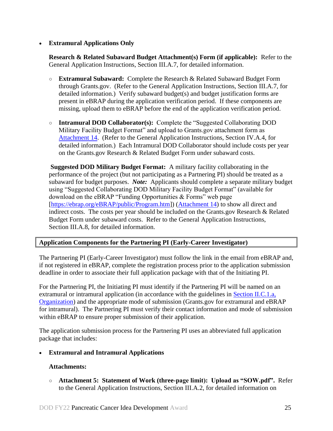#### **Extramural Applications Only**

<span id="page-24-0"></span>**Research & Related Subaward Budget Attachment(s) Form (if applicable):** Refer to the General Application Instructions, Section III.A.7, for detailed information.

- **Extramural Subaward:** Complete the Research & Related Subaward Budget Form through Grants.gov. (Refer to the General Application Instructions, Section III.A.7, for detailed information.) Verify subaward budget(s) and budget justification forms are present in eBRAP during the application verification period. If these components are missing, upload them to eBRAP before the end of the application verification period.
- **Intramural DOD Collaborator(s):** Complete the "Suggested Collaborating DOD Military Facility Budget Format" and upload to Grants.gov attachment form as [Attachment 14.](#page-22-2) (Refer to the General Application Instructions, Section IV.A.4, for detailed information.) Each Intramural DOD Collaborator should include costs per year on the Grants.gov Research & Related Budget Form under subaward costs.

**Suggested DOD Military Budget Format:** A military facility collaborating in the performance of the project (but not participating as a Partnering PI) should be treated as a subaward for budget purposes. *Note:*Applicants should complete a separate military budget using "Suggested Collaborating DOD Military Facility Budget Format" (available for download on the eBRAP "Funding Opportunities & Forms" web page [\[https://ebrap.org/eBRAP/public/Program.htm\]](https://ebrap.org/eBRAP/public/Program.htm)) [\(Attachment 14\)](#page-22-2) to show all direct and indirect costs. The costs per year should be included on the Grants.gov Research & Related Budget Form under subaward costs. Refer to the General Application Instructions, Section III.A.8, for detailed information.

#### **Application Components for the Partnering PI (Early-Career Investigator)**

The Partnering PI (Early-Career Investigator) must follow the link in the email from eBRAP and, if not registered in eBRAP, complete the registration process prior to the application submission deadline in order to associate their full application package with that of the Initiating PI.

For the Partnering PI, the Initiating PI must identify if the Partnering PI will be named on an extramural or intramural application (in accordance with the guidelines in Section [II.C.1.a,](#page-6-2)  [Organization\)](#page-6-2) and the appropriate mode of submission (Grants.gov for extramural and eBRAP for intramural). The Partnering PI must verify their contact information and mode of submission within eBRAP to ensure proper submission of their application.

The application submission process for the Partnering PI uses an abbreviated full application package that includes:

**Extramural and Intramural Applications** 

#### **Attachments:**

○ **Attachment 5: Statement of Work (three-page limit): Upload as "SOW.pdf".** Refer to the General Application Instructions, Section III.A.2, for detailed information on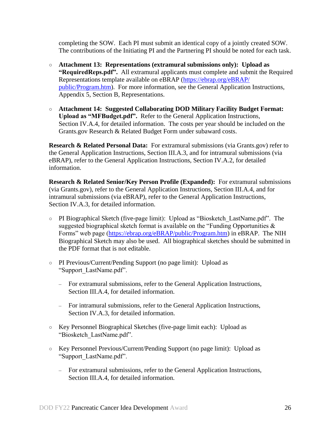completing the SOW. Each PI must submit an identical copy of a jointly created SOW. The contributions of the Initiating PI and the Partnering PI should be noted for each task.

- **Attachment 13: Representations (extramural submissions only): Upload as "RequiredReps.pdf".** All extramural applicants must complete and submit the Required Representations template available on eBRAP [\(https://ebrap.org/eBRAP/](https://ebrap.org/eBRAP/public/Program.htm) [public/Program.htm\)](https://ebrap.org/eBRAP/public/Program.htm). For more information, see the General Application Instructions, Appendix 5, Section B, Representations.
- **Attachment 14: Suggested Collaborating DOD Military Facility Budget Format: Upload as "MFBudget.pdf".** Refer to the General Application Instructions, Section IV.A.4, for detailed information. The costs per year should be included on the Grants.gov Research & Related Budget Form under subaward costs.

**Research & Related Personal Data:** For extramural submissions (via Grants.gov) refer to the General Application Instructions, Section III.A.3, and for intramural submissions (via eBRAP), refer to the General Application Instructions, Section IV.A.2, for detailed information.

**Research & Related Senior/Key Person Profile (Expanded):** For extramural submissions (via Grants.gov), refer to the General Application Instructions, Section III.A.4, and for intramural submissions (via eBRAP), refer to the General Application Instructions, Section IV.A.3, for detailed information.

- PI Biographical Sketch (five-page limit): Upload as "Biosketch\_LastName.pdf". The suggested biographical sketch format is available on the "Funding Opportunities  $\&$ Forms" web page [\(https://ebrap.org/eBRAP/public/Program.htm\)](https://ebrap.org/eBRAP/public/Program.htm) in eBRAP. The NIH Biographical Sketch may also be used. All biographical sketches should be submitted in the PDF format that is not editable.
- PI Previous/Current/Pending Support (no page limit): Upload as "Support\_LastName.pdf".
	- For extramural submissions, refer to the General Application Instructions, Section III.A.4, for detailed information.
	- For intramural submissions, refer to the General Application Instructions, Section IV.A.3, for detailed information.
- Key Personnel Biographical Sketches (five-page limit each): Upload as "Biosketch\_LastName.pdf".
- Key Personnel Previous/Current/Pending Support (no page limit): Upload as "Support\_LastName.pdf".
	- For extramural submissions, refer to the General Application Instructions, Section III.A.4, for detailed information.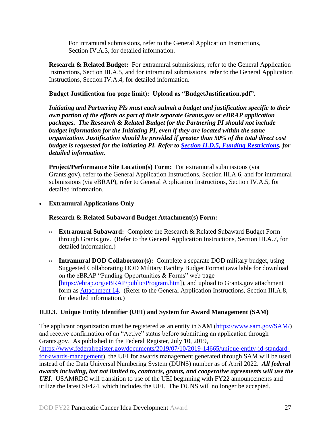– For intramural submissions, refer to the General Application Instructions, Section IV.A.3, for detailed information.

**Research & Related Budget:** For extramural submissions, refer to the General Application Instructions, Section III.A.5, and for intramural submissions, refer to the General Application Instructions, Section IV.A.4, for detailed information.

#### **Budget Justification (no page limit): Upload as "BudgetJustification.pdf".**

*Initiating and Partnering PIs must each submit a budget and justification specific to their own portion of the efforts as part of their separate Grants.gov or eBRAP application packages. The Research & Related Budget for the Partnering PI should not include budget information for the Initiating PI, even if they are located within the same organization. Justification should be provided if greater than 50% of the total direct cost budget is requested for the initiating PI. Refer to [Section II.D.5, Funding Restrictions,](#page-28-0) for detailed information.* 

<span id="page-26-1"></span>**Project/Performance Site Location(s) Form:** For extramural submissions (via Grants.gov), refer to the General Application Instructions, Section III.A.6, and for intramural submissions (via eBRAP), refer to General Application Instructions, Section IV.A.5, for detailed information.

**Extramural Applications Only**

#### **Research & Related Subaward Budget Attachment(s) Form:**

- **Extramural Subaward:** Complete the Research & Related Subaward Budget Form through Grants.gov. (Refer to the General Application Instructions, Section III.A.7, for detailed information.)
- **Intramural DOD Collaborator(s):** Complete a separate DOD military budget, using Suggested Collaborating DOD Military Facility Budget Format (available for download on the eBRAP "Funding Opportunities & Forms" web page [\[https://ebrap.org/eBRAP/public/Program.htm\]](https://ebrap.org/eBRAP/public/Program.htm)), and upload to Grants.gov attachment form as [Attachment 14.](#page-22-2) (Refer to the General Application Instructions, Section III.A.8, for detailed information.)

# <span id="page-26-0"></span>**II.D.3. Unique Entity Identifier (UEI) and System for Award Management (SAM)**

The applicant organization must be registered as an entity in SAM [\(https://www.sam.gov/SAM/\)](https://www.sam.gov/SAM/) and receive confirmation of an "Active" status before submitting an application through Grants.gov. As published in the Federal Register, July 10, 2019, [\(https://www.federalregister.gov/documents/2019/07/10/2019-14665/unique-entity-id-standard](https://www.federalregister.gov/documents/2019/07/10/2019-14665/unique-entity-id-standard-for-awards-management)[for-awards-management\)](https://www.federalregister.gov/documents/2019/07/10/2019-14665/unique-entity-id-standard-for-awards-management), the UEI for awards management generated through SAM will be used instead of the Data Universal Numbering System (DUNS) number as of April 2022. *All federal awards including, but not limited to, contracts, grants, and cooperative agreements will use the UEI.* USAMRDC will transition to use of the UEI beginning with FY22 announcements and utilize the latest SF424, which includes the UEI. The DUNS will no longer be accepted.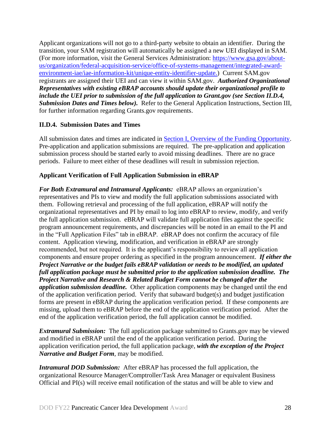Applicant organizations will not go to a third-party website to obtain an identifier. During the transition, your SAM registration will automatically be assigned a new UEI displayed in SAM. (For more information, visit the General Services Administration: [https://www.gsa.gov/about](https://www.gsa.gov/about-us/organization/federal-acquisition-service/office-of-systems-management/integrated-award-environment-iae/iae-information-kit/unique-entity-identifier-update)[us/organization/federal-acquisition-service/office-of-systems-management/integrated-award](https://www.gsa.gov/about-us/organization/federal-acquisition-service/office-of-systems-management/integrated-award-environment-iae/iae-information-kit/unique-entity-identifier-update)[environment-iae/iae-information-kit/unique-entity-identifier-update.](https://www.gsa.gov/about-us/organization/federal-acquisition-service/office-of-systems-management/integrated-award-environment-iae/iae-information-kit/unique-entity-identifier-update)) Current SAM.gov registrants are assigned their UEI and can view it within SAM.gov. *Authorized Organizational Representatives with existing eBRAP accounts should update their organizational profile to include the UEI prior to submission of the full application to Grant.gov (see Section II.D.4, Submission Dates and Times below).* Refer to the General Application Instructions, Section III, for further information regarding Grants.gov requirements.

# <span id="page-27-0"></span>**II.D.4. Submission Dates and Times**

All submission dates and times are indicated in [Section I, Overview of the Funding Opportunity.](#page-0-1) Pre-application and application submissions are required. The pre-application and application submission process should be started early to avoid missing deadlines. There are no grace periods. Failure to meet either of these deadlines will result in submission rejection.

# <span id="page-27-1"></span>**Applicant Verification of Full Application Submission in eBRAP**

*For Both Extramural and Intramural Applicants:* eBRAP allows an organization's representatives and PIs to view and modify the full application submissions associated with them. Following retrieval and processing of the full application, eBRAP will notify the organizational representatives and PI by email to log into eBRAP to review, modify, and verify the full application submission. eBRAP will validate full application files against the specific program announcement requirements, and discrepancies will be noted in an email to the PI and in the "Full Application Files" tab in eBRAP. eBRAP does not confirm the accuracy of file content. Application viewing, modification, and verification in eBRAP are strongly recommended, but not required. It is the applicant's responsibility to review all application components and ensure proper ordering as specified in the program announcement. *If either the Project Narrative or the budget fails eBRAP validation or needs to be modified, an updated full application package must be submitted prior to the application submission deadline. The Project Narrative and Research & Related Budget Form cannot be changed after the application submission deadline.* Other application components may be changed until the end of the [application verification period.](#page-0-0) Verify that subaward budget(s) and budget justification forms are present in eBRAP during the application verification period. If these components are missing, upload them to eBRAP before the end of the application verification period. After the end of the application verification period, the full application cannot be modified.

*Extramural Submission:* The full application package submitted to Grants.gov may be viewed and modified in eBRAP until the end of the application verification period. During the application verification period, the full application package, *with the exception of the Project Narrative and Budget Form,* may be modified.

*Intramural DOD Submission:* After eBRAP has processed the full application, the organizational Resource Manager/Comptroller/Task Area Manager or equivalent Business Official and PI(s) will receive email notification of the status and will be able to view and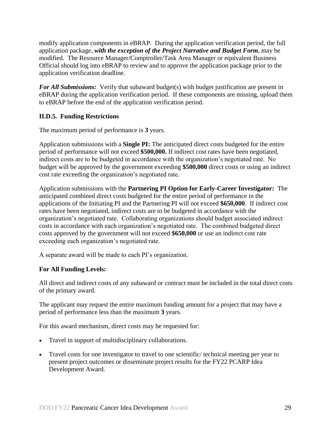modify application components in eBRAP. During the application verification period, the full application package, *with the exception of the Project Narrative and Budget Form*, may be modified. The Resource Manager/Comptroller/Task Area Manager or equivalent Business Official should log into eBRAP to review and to approve the application package prior to the application verification deadline.

*For All Submissions:* Verify that subaward budget(s) with budget justification are present in eBRAP during the application verification period. If these components are missing, upload them to eBRAP before the end of the application verification period.

# <span id="page-28-0"></span>**II.D.5. Funding Restrictions**

The maximum period of performance is **3** years.

Application submissions with a **Single PI:** The anticipated direct costs budgeted for the entire period of performance will not exceed **\$500,000.** If indirect cost rates have been negotiated, indirect costs are to be budgeted in accordance with the organization's negotiated rate. No budget will be approved by the government exceeding **\$500,000** direct costs or using an indirect cost rate exceeding the organization's negotiated rate.

Application submissions with the **Partnering PI Option for Early-Career Investigator:** The anticipated combined direct costs budgeted for the entire period of performance in the applications of the Initiating PI and the Partnering PI will not exceed **\$650,000**. If indirect cost rates have been negotiated, indirect costs are to be budgeted in accordance with the organization's negotiated rate. Collaborating organizations should budget associated indirect costs in accordance with each organization's negotiated rate. The combined budgeted direct costs approved by the government will not exceed **\$650,000** or use an indirect cost rate exceeding each organization's negotiated rate.

A separate award will be made to each PI's organization.

#### **For All Funding Levels:**

All direct and indirect costs of any subaward or contract must be included in the total direct costs of the primary award.

The applicant may request the entire maximum funding amount for a project that may have a period of performance less than the maximum **3** years.

For this award mechanism, direct costs may be requested for:

- Travel in support of multidisciplinary collaborations.
- Travel costs for one investigator to travel to one scientific/ technical meeting per year to present project outcomes or disseminate project results for the FY22 PCARP Idea Development Award.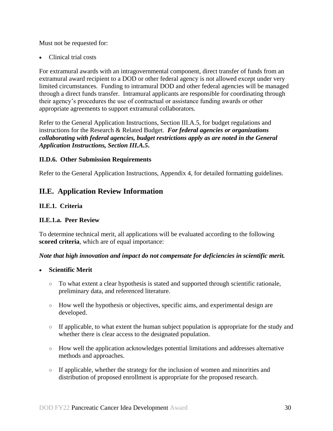Must not be requested for:

Clinical trial costs

For extramural awards with an intragovernmental component, direct transfer of funds from an extramural award recipient to a DOD or other federal agency is not allowed except under very limited circumstances. Funding to intramural DOD and other federal agencies will be managed through a direct funds transfer. Intramural applicants are responsible for coordinating through their agency's procedures the use of contractual or assistance funding awards or other appropriate agreements to support extramural collaborators.

Refer to the General Application Instructions, Section III.A.5, for budget regulations and instructions for the Research & Related Budget. *For federal agencies or organizations collaborating with federal agencies, budget restrictions apply as are noted in the General Application Instructions, Section III.A.5***.**

#### <span id="page-29-0"></span>**II.D.6. Other Submission Requirements**

Refer to the General Application Instructions, Appendix 4, for detailed formatting guidelines.

# <span id="page-29-1"></span>**II.E. Application Review Information**

#### <span id="page-29-2"></span>**II.E.1. Criteria**

#### **II.E.1.a. Peer Review**

To determine technical merit, all applications will be evaluated according to the following **scored criteria**, which are of equal importance:

#### *Note that high innovation and impact do not compensate for deficiencies in scientific merit.*

#### **Scientific Merit**

- To what extent a clear hypothesis is stated and supported through scientific rationale, preliminary data, and referenced literature.
- How well the hypothesis or objectives, specific aims, and experimental design are developed.
- If applicable, to what extent the human subject population is appropriate for the study and whether there is clear access to the designated population.
- How well the application acknowledges potential limitations and addresses alternative methods and approaches.
- If applicable, whether the strategy for the inclusion of women and minorities and distribution of proposed enrollment is appropriate for the proposed research.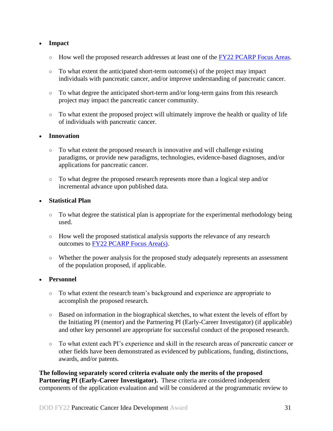#### **Impact**

- $\circ$  How well the proposed research addresses at least one of the FY22 [PCARP Focus Areas.](#page-2-2)
- $\circ$  To what extent the anticipated short-term outcome(s) of the project may impact individuals with pancreatic cancer, and/or improve understanding of pancreatic cancer.
- To what degree the anticipated short-term and/or long-term gains from this research project may impact the pancreatic cancer community.
- To what extent the proposed project will ultimately improve the health or quality of life of individuals with pancreatic cancer.

#### **Innovation**

- To what extent the proposed research is innovative and will challenge existing paradigms, or provide new paradigms, technologies, evidence-based diagnoses, and/or applications for pancreatic cancer.
- To what degree the proposed research represents more than a logical step and/or incremental advance upon published data.

#### **Statistical Plan**

- To what degree the statistical plan is appropriate for the experimental methodology being used.
- How well the proposed statistical analysis supports the relevance of any research outcomes to [FY22 PCARP Focus Area\(s\).](#page-2-2)
- Whether the power analysis for the proposed study adequately represents an assessment of the population proposed, if applicable.

#### **Personnel**

- To what extent the research team's background and experience are appropriate to accomplish the proposed research.
- Based on information in the biographical sketches, to what extent the levels of effort by the Initiating PI (mentor) and the Partnering PI (Early-Career Investigator) (if applicable) and other key personnel are appropriate for successful conduct of the proposed research.
- To what extent each PI's experience and skill in the research areas of pancreatic cancer or other fields have been demonstrated as evidenced by publications, funding, distinctions, awards, and/or patents.

**The following separately scored criteria evaluate only the merits of the proposed Partnering PI (Early-Career Investigator).** These criteria are considered independent components of the application evaluation and will be considered at the programmatic review to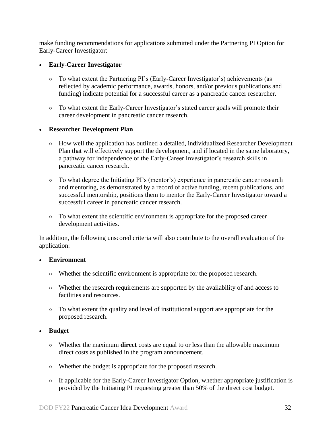make funding recommendations for applications submitted under the Partnering PI Option for Early-Career Investigator:

#### **Early-Career Investigator**

- To what extent the Partnering PI's (Early-Career Investigator's) achievements (as reflected by academic performance, awards, honors, and/or previous publications and funding) indicate potential for a successful career as a pancreatic cancer researcher.
- To what extent the Early-Career Investigator's stated career goals will promote their career development in pancreatic cancer research.

#### **Researcher Development Plan**

- How well the application has outlined a detailed, individualized Researcher Development Plan that will effectively support the development, and if located in the same laboratory, a pathway for independence of the Early-Career Investigator's research skills in pancreatic cancer research.
- To what degree the Initiating PI's (mentor's) experience in pancreatic cancer research and mentoring, as demonstrated by a record of active funding, recent publications, and successful mentorship, positions them to mentor the Early-Career Investigator toward a successful career in pancreatic cancer research.
- To what extent the scientific environment is appropriate for the proposed career development activities.

In addition, the following unscored criteria will also contribute to the overall evaluation of the application:

#### **Environment**

- Whether the scientific environment is appropriate for the proposed research.
- Whether the research requirements are supported by the availability of and access to facilities and resources.
- To what extent the quality and level of institutional support are appropriate for the proposed research.

#### **Budget**

- Whether the maximum **direct** costs are equal to or less than the allowable maximum direct costs as published in the program announcement.
- Whether the budget is appropriate for the proposed research.
- If applicable for the Early-Career Investigator Option, whether appropriate justification is provided by the Initiating PI requesting greater than 50% of the direct cost budget.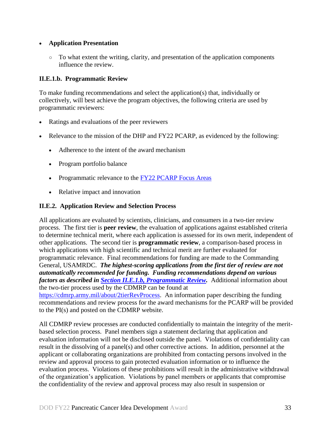#### **Application Presentation**

 $\circ$  To what extent the writing, clarity, and presentation of the application components influence the review.

#### <span id="page-32-1"></span>**II.E.1.b. Programmatic Review**

To make funding recommendations and select the application(s) that, individually or collectively, will best achieve the program objectives, the following criteria are used by programmatic reviewers:

- Ratings and evaluations of the peer reviewers
- Relevance to the mission of the DHP and FY22 PCARP, as evidenced by the following:
	- Adherence to the intent of the award mechanism
	- Program portfolio balance
	- Programmatic relevance to the [FY22 PCARP Focus Areas](#page-2-2)
	- Relative impact and innovation

# <span id="page-32-0"></span>**II.E.2. Application Review and Selection Process**

All applications are evaluated by scientists, clinicians, and consumers in a two-tier review process. The first tier is **peer review**, the evaluation of applications against established criteria to determine technical merit, where each application is assessed for its own merit, independent of other applications. The second tier is **programmatic review**, a comparison-based process in which applications with high scientific and technical merit are further evaluated for programmatic relevance. Final recommendations for funding are made to the Commanding General, USAMRDC. *The highest-scoring applications from the first tier of review are not automatically recommended for funding. Funding recommendations depend on various factors as described in Section [II.E.1.b, Programmatic Review.](#page-32-1)* Additional information about the two-tier process used by the CDMRP can be found at [https://cdmrp.army.mil/about/2tierRevProcess.](http://cdmrp.army.mil/about/2tierRevProcess) An information paper describing the funding recommendations and review process for the award mechanisms for the PCARP will be provided to the PI(s) and posted on the CDMRP website.

All CDMRP review processes are conducted confidentially to maintain the integrity of the meritbased selection process. Panel members sign a statement declaring that application and evaluation information will not be disclosed outside the panel. Violations of confidentiality can result in the dissolving of a panel(s) and other corrective actions. In addition, personnel at the applicant or collaborating organizations are prohibited from contacting persons involved in the review and approval process to gain protected evaluation information or to influence the evaluation process. Violations of these prohibitions will result in the administrative withdrawal of the organization's application. Violations by panel members or applicants that compromise the confidentiality of the review and approval process may also result in suspension or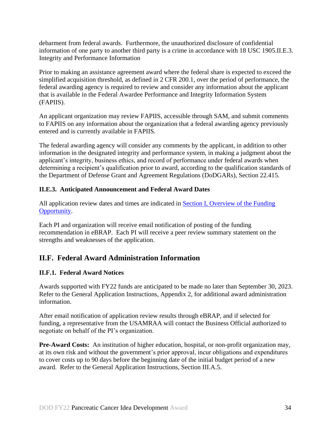debarment from federal awards. Furthermore, the unauthorized disclosure of confidential information of one party to another third party is a crime in accordance with 18 USC 1905.II.E.3. Integrity and Performance Information

Prior to making an assistance agreement award where the federal share is expected to exceed the simplified acquisition threshold, as defined in 2 CFR 200.1, over the period of performance, the federal awarding agency is required to review and consider any information about the applicant that is available in the Federal Awardee Performance and Integrity Information System (FAPIIS).

An applicant organization may review FAPIIS, accessible through SAM, and submit comments to FAPIIS on any information about the organization that a federal awarding agency previously entered and is currently available in FAPIIS.

The federal awarding agency will consider any comments by the applicant, in addition to other information in the designated integrity and performance system, in making a judgment about the applicant's integrity, business ethics, and record of performance under federal awards when determining a recipient's qualification prior to award, according to the qualification standards of the Department of Defense Grant and Agreement Regulations (DoDGARs), Section 22.415.

# <span id="page-33-0"></span>**II.E.3. Anticipated Announcement and Federal Award Dates**

All application review dates and times are indicated in [Section I, Overview of the Funding](#page-0-1)  [Opportunity.](#page-0-1)

Each PI and organization will receive email notification of posting of the funding recommendation in eBRAP. Each PI will receive a peer review summary statement on the strengths and weaknesses of the application.

# <span id="page-33-1"></span>**II.F. Federal Award Administration Information**

# <span id="page-33-2"></span>**II.F.1. Federal Award Notices**

Awards supported with FY22 funds are anticipated to be made no later than September 30, 2023. Refer to the General Application Instructions, Appendix 2, for additional award administration information.

After email notification of application review results through eBRAP, and if selected for funding, a representative from the USAMRAA will contact the Business Official authorized to negotiate on behalf of the PI's organization.

**Pre-Award Costs:** An institution of higher education, hospital, or non-profit organization may, at its own risk and without the government's prior approval, incur obligations and expenditures to cover costs up to 90 days before the beginning date of the initial budget period of a new award. Refer to the General Application Instructions, Section III.A.5.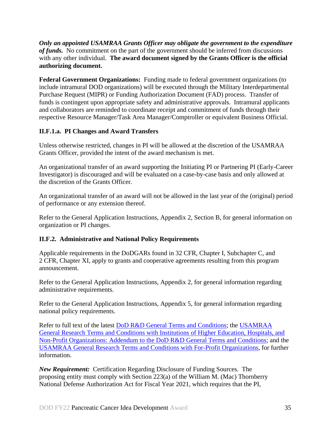*Only an appointed USAMRAA Grants Officer may obligate the government to the expenditure of funds.* No commitment on the part of the government should be inferred from discussions with any other individual. **The award document signed by the Grants Officer is the official authorizing document.**

**Federal Government Organizations:** Funding made to federal government organizations (to include intramural DOD organizations) will be executed through the Military Interdepartmental Purchase Request (MIPR) or Funding Authorization Document (FAD) process. Transfer of funds is contingent upon appropriate safety and administrative approvals. Intramural applicants and collaborators are reminded to coordinate receipt and commitment of funds through their respective Resource Manager/Task Area Manager/Comptroller or equivalent Business Official.

# **II.F.1.a. PI Changes and Award Transfers**

Unless otherwise restricted, changes in PI will be allowed at the discretion of the USAMRAA Grants Officer, provided the intent of the award mechanism is met.

An organizational transfer of an award supporting the Initiating PI or Partnering PI (Early-Career Investigator) is discouraged and will be evaluated on a case-by-case basis and only allowed at the discretion of the Grants Officer.

An organizational transfer of an award will not be allowed in the last year of the (original) period of performance or any extension thereof.

Refer to the General Application Instructions, Appendix 2, Section B, for general information on organization or PI changes.

# <span id="page-34-0"></span>**II.F.2. Administrative and National Policy Requirements**

Applicable requirements in the DoDGARs found in 32 CFR, Chapter I, Subchapter C, and 2 CFR, Chapter XI, apply to grants and cooperative agreements resulting from this program announcement.

Refer to the General Application Instructions, Appendix 2, for general information regarding administrative requirements.

Refer to the General Application Instructions, Appendix 5, for general information regarding national policy requirements.

Refer to full text of the latest **DoD R&D General Terms and Conditions**; the USAMRAA [General Research Terms and Conditions with Institutions of Higher Education, Hospitals, and](https://www.usamraa.army.mil/Pages/Resources.aspx)  [Non-Profit Organizations: Addendum to the DoD](https://www.usamraa.army.mil/Pages/Resources.aspx) R&D General Terms and Conditions; and the [USAMRAA General Research Terms and Conditions with For-Profit Organizations,](https://www.usamraa.army.mil/Pages/Resources.aspx) for further information.

*New Requirement:* Certification Regarding Disclosure of Funding Sources. The proposing entity must comply with Section 223(a) of the William M. (Mac) Thornberry National Defense Authorization Act for Fiscal Year 2021, which requires that the PI,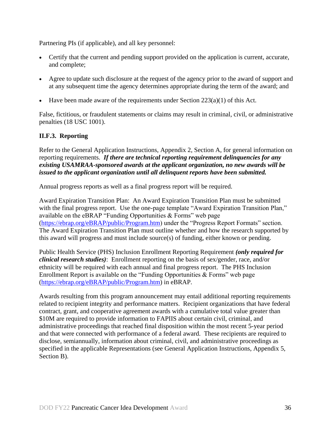Partnering PIs (if applicable), and all key personnel:

- Certify that the current and pending support provided on the application is current, accurate, and complete;
- Agree to update such disclosure at the request of the agency prior to the award of support and at any subsequent time the agency determines appropriate during the term of the award; and
- Have been made aware of the requirements under Section  $223(a)(1)$  of this Act.

False, fictitious, or fraudulent statements or claims may result in criminal, civil, or administrative penalties (18 USC 1001).

#### <span id="page-35-0"></span>**II.F.3. Reporting**

Refer to the General Application Instructions, Appendix 2, Section A, for general information on reporting requirements. *If there are technical reporting requirement delinquencies for any existing USAMRAA-sponsored awards at the applicant organization, no new awards will be issued to the applicant organization until all delinquent reports have been submitted.*

Annual progress reports as well as a final progress report will be required.

Award Expiration Transition Plan: An Award Expiration Transition Plan must be submitted with the final progress report. Use the one-page template "Award Expiration Transition Plan," available on the eBRAP "Funding Opportunities & Forms" web page [\(https://ebrap.org/eBRAP/public/Program.htm\)](https://ebrap.org/eBRAP/public/Program.htm) under the "Progress Report Formats" section. The Award Expiration Transition Plan must outline whether and how the research supported by this award will progress and must include source(s) of funding, either known or pending.

Public Health Service (PHS) Inclusion Enrollment Reporting Requirement *(only required for clinical research studies)*: Enrollment reporting on the basis of sex/gender, race, and/or ethnicity will be required with each annual and final progress report. The PHS Inclusion Enrollment Report is available on the "Funding Opportunities & Forms" web page [\(https://ebrap.org/eBRAP/public/Program.htm\)](https://ebrap.org/eBRAP/public/Program.htm) in eBRAP.

Awards resulting from this program announcement may entail additional reporting requirements related to recipient integrity and performance matters. Recipient organizations that have federal contract, grant, and cooperative agreement awards with a cumulative total value greater than \$10M are required to provide information to FAPIIS about certain civil, criminal, and administrative proceedings that reached final disposition within the most recent 5-year period and that were connected with performance of a federal award. These recipients are required to disclose, semiannually, information about criminal, civil, and administrative proceedings as specified in the applicable Representations (see General Application Instructions, Appendix 5, Section B).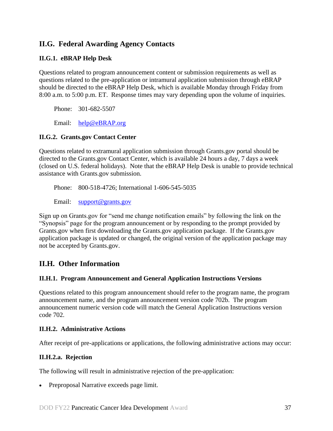# <span id="page-36-0"></span>**II.G. Federal Awarding Agency Contacts**

# <span id="page-36-1"></span>**II.G.1. eBRAP Help Desk**

Questions related to program announcement content or submission requirements as well as questions related to the pre-application or intramural application submission through eBRAP should be directed to the eBRAP Help Desk, which is available Monday through Friday from 8:00 a.m. to 5:00 p.m. ET. Response times may vary depending upon the volume of inquiries.

Phone: 301-682-5507

Email: [help@eBRAP.org](mailto:help@eBRAP.org)

#### <span id="page-36-2"></span>**II.G.2. Grants.gov Contact Center**

Questions related to extramural application submission through Grants.gov portal should be directed to the Grants.gov Contact Center, which is available 24 hours a day, 7 days a week (closed on U.S. federal holidays). Note that the eBRAP Help Desk is unable to provide technical assistance with Grants.gov submission.

Phone: 800-518-4726; International 1-606-545-5035

Email: [support@grants.gov](mailto:support@grants.gov)

Sign up on Grants.gov for "send me change notification emails" by following the link on the "Synopsis" page for the program announcement or by responding to the prompt provided by Grants.gov when first downloading the Grants.gov application package. If the Grants.gov application package is updated or changed, the original version of the application package may not be accepted by Grants.gov.

# <span id="page-36-3"></span>**II.H. Other Information**

#### <span id="page-36-4"></span>**II.H.1. Program Announcement and General Application Instructions Versions**

Questions related to this program announcement should refer to the program name, the program announcement name, and the program announcement version code 702b. The program announcement numeric version code will match the General Application Instructions version code 702.

#### <span id="page-36-5"></span>**II.H.2. Administrative Actions**

After receipt of pre-applications or applications, the following administrative actions may occur:

#### **II.H.2.a. Rejection**

The following will result in administrative rejection of the pre-application:

• Preproposal Narrative exceeds page limit.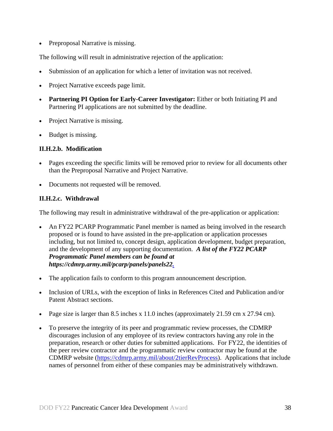• Preproposal Narrative is missing.

The following will result in administrative rejection of the application:

- Submission of an application for which a letter of invitation was not received.
- Project Narrative exceeds page limit.
- **Partnering PI Option for Early-Career Investigator:** Either or both Initiating PI and Partnering PI applications are not submitted by the deadline.
- Project Narrative is missing.
- Budget is missing.

#### **II.H.2.b. Modification**

- Pages exceeding the specific limits will be removed prior to review for all documents other than the Preproposal Narrative and Project Narrative.
- Documents not requested will be removed.

# <span id="page-37-0"></span>**II.H.2.c. Withdrawal**

The following may result in administrative withdrawal of the pre-application or application:

- An FY22 PCARP Programmatic Panel member is named as being involved in the research proposed or is found to have assisted in the pre-application or application processes including, but not limited to, concept design, application development, budget preparation, and the development of any supporting documentation. *A list of the FY22 PCARP Programmatic Panel members can be found at https://cdmrp.army.mil/pcarp/panels/panels22.*
- The application fails to conform to this program announcement description.
- Inclusion of URLs, with the exception of links in References Cited and Publication and/or Patent Abstract sections.
- Page size is larger than 8.5 inches x 11.0 inches (approximately 21.59 cm x 27.94 cm).
- To preserve the integrity of its peer and programmatic review processes, the CDMRP discourages inclusion of any employee of its review contractors having any role in the preparation, research or other duties for submitted applications. For FY22, the identities of the peer review contractor and the programmatic review contractor may be found at the CDMRP website [\(https://cdmrp.army.mil/about/2tierRevProcess\)](https://cdmrp.army.mil/about/2tierRevProcess). Applications that include names of personnel from either of these companies may be administratively withdrawn.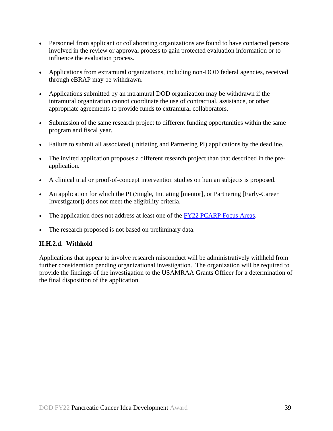- Personnel from applicant or collaborating organizations are found to have contacted persons involved in the review or approval process to gain protected evaluation information or to influence the evaluation process.
- Applications from extramural organizations, including non-DOD federal agencies, received through eBRAP may be withdrawn.
- Applications submitted by an intramural DOD organization may be withdrawn if the intramural organization cannot coordinate the use of contractual, assistance, or other appropriate agreements to provide funds to extramural collaborators.
- Submission of the same research project to different funding opportunities within the same program and fiscal year.
- Failure to submit all associated (Initiating and Partnering PI) applications by the deadline.
- The invited application proposes a different research project than that described in the preapplication.
- A clinical trial or proof-of-concept intervention studies on human subjects is proposed.
- An application for which the PI (Single, Initiating [mentor], or Partnering [Early-Career] Investigator]) does not meet the eligibility criteria.
- The application does not address at least one of the [FY22 PCARP Focus Areas.](#page-2-2)
- The research proposed is not based on preliminary data.

#### **II.H.2.d. Withhold**

Applications that appear to involve research misconduct will be administratively withheld from further consideration pending organizational investigation. The organization will be required to provide the findings of the investigation to the USAMRAA Grants Officer for a determination of the final disposition of the application.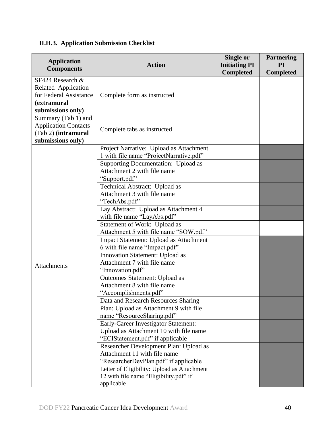# <span id="page-39-0"></span>**II.H.3. Application Submission Checklist**

| <b>Application</b><br><b>Components</b>                                                               | <b>Action</b>                                                                                                      | <b>Single or</b><br><b>Initiating PI</b><br><b>Completed</b> | <b>Partnering</b><br><b>PI</b><br><b>Completed</b> |
|-------------------------------------------------------------------------------------------------------|--------------------------------------------------------------------------------------------------------------------|--------------------------------------------------------------|----------------------------------------------------|
| SF424 Research &<br>Related Application<br>for Federal Assistance<br>(extramural<br>submissions only) | Complete form as instructed                                                                                        |                                                              |                                                    |
| Summary (Tab 1) and<br><b>Application Contacts</b><br>(Tab 2) (intramural<br>submissions only)        | Complete tabs as instructed                                                                                        |                                                              |                                                    |
|                                                                                                       | Project Narrative: Upload as Attachment<br>1 with file name "ProjectNarrative.pdf"                                 |                                                              |                                                    |
|                                                                                                       | Supporting Documentation: Upload as<br>Attachment 2 with file name<br>"Support.pdf"                                |                                                              |                                                    |
|                                                                                                       | Technical Abstract: Upload as<br>Attachment 3 with file name<br>"TechAbs.pdf"                                      |                                                              |                                                    |
|                                                                                                       | Lay Abstract: Upload as Attachment 4<br>with file name "LayAbs.pdf"                                                |                                                              |                                                    |
|                                                                                                       | Statement of Work: Upload as<br>Attachment 5 with file name "SOW.pdf"                                              |                                                              |                                                    |
|                                                                                                       | <b>Impact Statement: Upload as Attachment</b><br>6 with file name "Impact.pdf"                                     |                                                              |                                                    |
| <b>Attachments</b>                                                                                    | Innovation Statement: Upload as<br>Attachment 7 with file name<br>"Innovation.pdf"                                 |                                                              |                                                    |
|                                                                                                       | Outcomes Statement: Upload as<br>Attachment 8 with file name<br>"Accomplishments.pdf"                              |                                                              |                                                    |
|                                                                                                       | Data and Research Resources Sharing<br>Plan: Upload as Attachment 9 with file<br>name "ResourceSharing.pdf"        |                                                              |                                                    |
|                                                                                                       | Early-Career Investigator Statement:<br>Upload as Attachment 10 with file name<br>"ECIStatement.pdf" if applicable |                                                              |                                                    |
|                                                                                                       | Researcher Development Plan: Upload as<br>Attachment 11 with file name<br>"ResearcherDevPlan.pdf" if applicable    |                                                              |                                                    |
|                                                                                                       | Letter of Eligibility: Upload as Attachment<br>12 with file name "Eligibility.pdf" if<br>applicable                |                                                              |                                                    |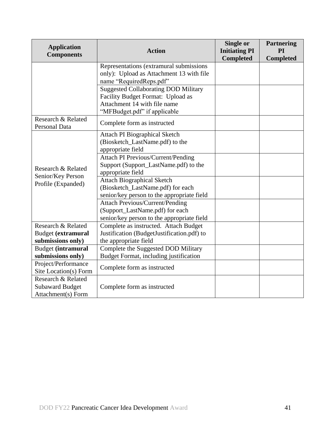| <b>Application</b>        |                                             | Single or            | <b>Partnering</b> |
|---------------------------|---------------------------------------------|----------------------|-------------------|
| <b>Components</b>         | <b>Action</b>                               | <b>Initiating PI</b> | PI                |
|                           |                                             | <b>Completed</b>     | <b>Completed</b>  |
|                           | Representations (extramural submissions     |                      |                   |
|                           | only): Upload as Attachment 13 with file    |                      |                   |
|                           | name "RequiredReps.pdf"                     |                      |                   |
|                           | <b>Suggested Collaborating DOD Military</b> |                      |                   |
|                           | Facility Budget Format: Upload as           |                      |                   |
|                           | Attachment 14 with file name                |                      |                   |
|                           | "MFBudget.pdf" if applicable                |                      |                   |
| Research & Related        | Complete form as instructed                 |                      |                   |
| Personal Data             |                                             |                      |                   |
|                           | <b>Attach PI Biographical Sketch</b>        |                      |                   |
|                           | (Biosketch_LastName.pdf) to the             |                      |                   |
|                           | appropriate field                           |                      |                   |
|                           | <b>Attach PI Previous/Current/Pending</b>   |                      |                   |
| Research & Related        | Support (Support_LastName.pdf) to the       |                      |                   |
| Senior/Key Person         | appropriate field                           |                      |                   |
| Profile (Expanded)        | <b>Attach Biographical Sketch</b>           |                      |                   |
|                           | (Biosketch_LastName.pdf) for each           |                      |                   |
|                           | senior/key person to the appropriate field  |                      |                   |
|                           | <b>Attach Previous/Current/Pending</b>      |                      |                   |
|                           | (Support_LastName.pdf) for each             |                      |                   |
|                           | senior/key person to the appropriate field  |                      |                   |
| Research & Related        | Complete as instructed. Attach Budget       |                      |                   |
| <b>Budget</b> (extramural | Justification (BudgetJustification.pdf) to  |                      |                   |
| submissions only)         | the appropriate field                       |                      |                   |
| <b>Budget</b> (intramural | Complete the Suggested DOD Military         |                      |                   |
| submissions only)         | Budget Format, including justification      |                      |                   |
| Project/Performance       | Complete form as instructed                 |                      |                   |
| Site Location(s) Form     |                                             |                      |                   |
| Research & Related        |                                             |                      |                   |
| <b>Subaward Budget</b>    | Complete form as instructed                 |                      |                   |
| Attachment(s) Form        |                                             |                      |                   |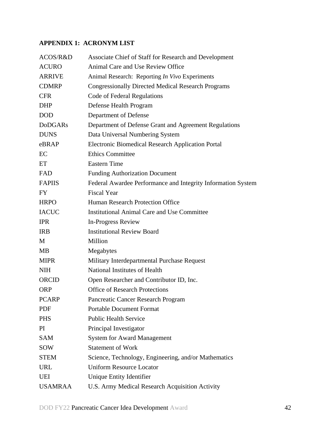# <span id="page-41-0"></span>**APPENDIX 1: ACRONYM LIST**

| ACOS/R&D       | Associate Chief of Staff for Research and Development        |
|----------------|--------------------------------------------------------------|
| <b>ACURO</b>   | Animal Care and Use Review Office                            |
| <b>ARRIVE</b>  | Animal Research: Reporting In Vivo Experiments               |
| <b>CDMRP</b>   | <b>Congressionally Directed Medical Research Programs</b>    |
| <b>CFR</b>     | Code of Federal Regulations                                  |
| <b>DHP</b>     | Defense Health Program                                       |
| <b>DOD</b>     | Department of Defense                                        |
| <b>DoDGARs</b> | Department of Defense Grant and Agreement Regulations        |
| <b>DUNS</b>    | Data Universal Numbering System                              |
| eBRAP          | <b>Electronic Biomedical Research Application Portal</b>     |
| EC             | <b>Ethics Committee</b>                                      |
| ET             | <b>Eastern Time</b>                                          |
| FAD            | <b>Funding Authorization Document</b>                        |
| <b>FAPIIS</b>  | Federal Awardee Performance and Integrity Information System |
| <b>FY</b>      | <b>Fiscal Year</b>                                           |
| <b>HRPO</b>    | Human Research Protection Office                             |
| <b>IACUC</b>   | <b>Institutional Animal Care and Use Committee</b>           |
| <b>IPR</b>     | <b>In-Progress Review</b>                                    |
| <b>IRB</b>     | <b>Institutional Review Board</b>                            |
| M              | Million                                                      |
| <b>MB</b>      | Megabytes                                                    |
| <b>MIPR</b>    | Military Interdepartmental Purchase Request                  |
| <b>NIH</b>     | National Institutes of Health                                |
| <b>ORCID</b>   | Open Researcher and Contributor ID, Inc.                     |
| <b>ORP</b>     | <b>Office of Research Protections</b>                        |
| <b>PCARP</b>   | Pancreatic Cancer Research Program                           |
| PDF            | <b>Portable Document Format</b>                              |
| <b>PHS</b>     | <b>Public Health Service</b>                                 |
| PI.            | Principal Investigator                                       |
| <b>SAM</b>     | <b>System for Award Management</b>                           |
| <b>SOW</b>     | <b>Statement of Work</b>                                     |
| <b>STEM</b>    | Science, Technology, Engineering, and/or Mathematics         |
| <b>URL</b>     | <b>Uniform Resource Locator</b>                              |
| <b>UEI</b>     | Unique Entity Identifier                                     |
| <b>USAMRAA</b> | U.S. Army Medical Research Acquisition Activity              |